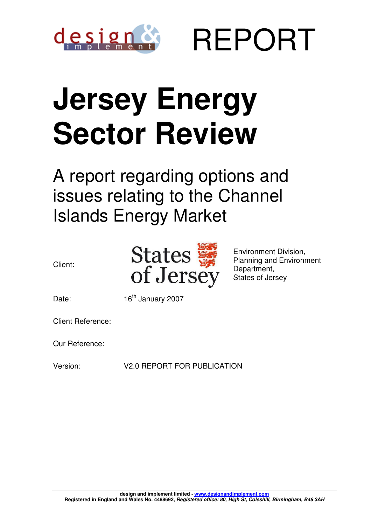

REPORT

# **Jersey Energy Sector Review**

A report regarding options and issues relating to the Channel Islands Energy Market





Environment Division, Planning and Environment Department, States of Jersey

Date: 16<sup>th</sup> January 2007

Client Reference:

Our Reference:

Version: V2.0 REPORT FOR PUBLICATION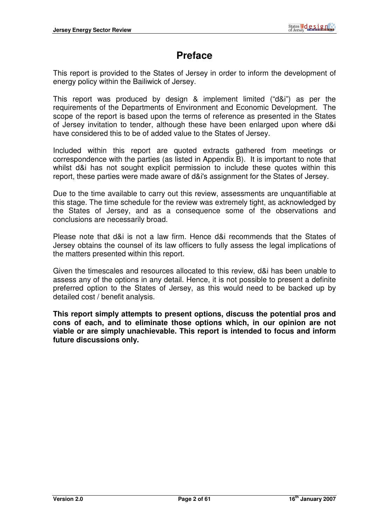# **Preface**

This report is provided to the States of Jersey in order to inform the development of energy policy within the Bailiwick of Jersey.

This report was produced by design & implement limited ("d&i") as per the requirements of the Departments of Environment and Economic Development. The scope of the report is based upon the terms of reference as presented in the States of Jersey invitation to tender, although these have been enlarged upon where d&i have considered this to be of added value to the States of Jersey.

Included within this report are quoted extracts gathered from meetings or correspondence with the parties (as listed in Appendix B). It is important to note that whilst d&i has not sought explicit permission to include these quotes within this report, these parties were made aware of d&i's assignment for the States of Jersey.

Due to the time available to carry out this review, assessments are unquantifiable at this stage. The time schedule for the review was extremely tight, as acknowledged by the States of Jersey, and as a consequence some of the observations and conclusions are necessarily broad.

Please note that d&i is not a law firm. Hence d&i recommends that the States of Jersey obtains the counsel of its law officers to fully assess the legal implications of the matters presented within this report.

Given the timescales and resources allocated to this review, d&i has been unable to assess any of the options in any detail. Hence, it is not possible to present a definite preferred option to the States of Jersey, as this would need to be backed up by detailed cost / benefit analysis.

**This report simply attempts to present options, discuss the potential pros and cons of each, and to eliminate those options which, in our opinion are not viable or are simply unachievable. This report is intended to focus and inform future discussions only.**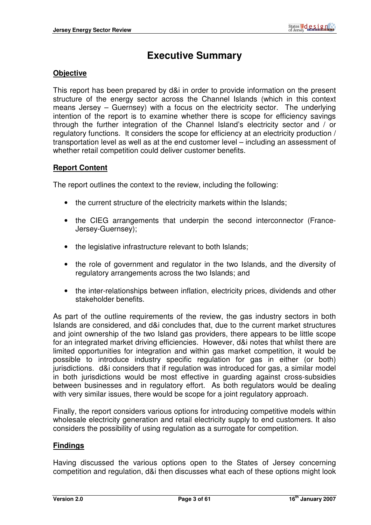# **Executive Summary**

#### **Objective**

This report has been prepared by d&i in order to provide information on the present structure of the energy sector across the Channel Islands (which in this context means Jersey – Guernsey) with a focus on the electricity sector. The underlying intention of the report is to examine whether there is scope for efficiency savings through the further integration of the Channel Island's electricity sector and / or regulatory functions. It considers the scope for efficiency at an electricity production / transportation level as well as at the end customer level – including an assessment of whether retail competition could deliver customer benefits.

#### **Report Content**

The report outlines the context to the review, including the following:

- the current structure of the electricity markets within the Islands;
- the CIEG arrangements that underpin the second interconnector (France-Jersey-Guernsey);
- the legislative infrastructure relevant to both Islands;
- the role of government and regulator in the two Islands, and the diversity of regulatory arrangements across the two Islands; and
- the inter-relationships between inflation, electricity prices, dividends and other stakeholder benefits.

As part of the outline requirements of the review, the gas industry sectors in both Islands are considered, and d&i concludes that, due to the current market structures and joint ownership of the two Island gas providers, there appears to be little scope for an integrated market driving efficiencies. However, d&i notes that whilst there are limited opportunities for integration and within gas market competition, it would be possible to introduce industry specific regulation for gas in either (or both) jurisdictions. d&i considers that if regulation was introduced for gas, a similar model in both jurisdictions would be most effective in guarding against cross-subsidies between businesses and in regulatory effort. As both regulators would be dealing with very similar issues, there would be scope for a joint regulatory approach.

Finally, the report considers various options for introducing competitive models within wholesale electricity generation and retail electricity supply to end customers. It also considers the possibility of using regulation as a surrogate for competition.

#### **Findings**

Having discussed the various options open to the States of Jersey concerning competition and regulation, d&i then discusses what each of these options might look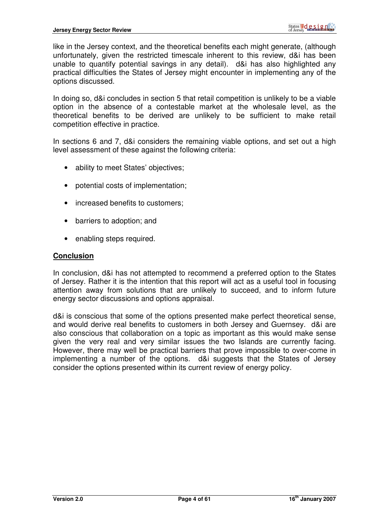like in the Jersey context, and the theoretical benefits each might generate, (although unfortunately, given the restricted timescale inherent to this review, d&i has been unable to quantify potential savings in any detail). d&i has also highlighted any practical difficulties the States of Jersey might encounter in implementing any of the options discussed.

In doing so, d&i concludes in section 5 that retail competition is unlikely to be a viable option in the absence of a contestable market at the wholesale level, as the theoretical benefits to be derived are unlikely to be sufficient to make retail competition effective in practice.

In sections 6 and 7, d&i considers the remaining viable options, and set out a high level assessment of these against the following criteria:

- ability to meet States' objectives;
- potential costs of implementation;
- increased benefits to customers;
- barriers to adoption; and
- enabling steps required.

#### **Conclusion**

In conclusion, d&i has not attempted to recommend a preferred option to the States of Jersey. Rather it is the intention that this report will act as a useful tool in focusing attention away from solutions that are unlikely to succeed, and to inform future energy sector discussions and options appraisal.

d&i is conscious that some of the options presented make perfect theoretical sense, and would derive real benefits to customers in both Jersey and Guernsey. d&i are also conscious that collaboration on a topic as important as this would make sense given the very real and very similar issues the two Islands are currently facing. However, there may well be practical barriers that prove impossible to over-come in implementing a number of the options. d&i suggests that the States of Jersey consider the options presented within its current review of energy policy.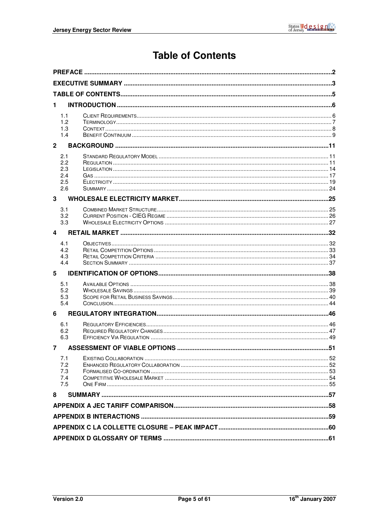# **Table of Contents**

| 1              |            |                              |    |  |  |
|----------------|------------|------------------------------|----|--|--|
|                | 1.1        |                              |    |  |  |
|                | 1.2        |                              |    |  |  |
|                | 1.3        |                              |    |  |  |
|                | 1.4        |                              |    |  |  |
| $\overline{2}$ |            |                              |    |  |  |
|                | 2.1        |                              |    |  |  |
|                | 2.2<br>2.3 |                              |    |  |  |
|                | 2.4        |                              |    |  |  |
|                | 2.5        |                              |    |  |  |
|                | 2.6        |                              |    |  |  |
| 3              |            |                              |    |  |  |
|                | 3.1        |                              |    |  |  |
|                | 3.2        |                              |    |  |  |
|                | 3.3        |                              |    |  |  |
| 4              |            |                              |    |  |  |
|                | 4.1        |                              |    |  |  |
|                | 4.2        |                              |    |  |  |
|                | 4.3<br>4.4 |                              |    |  |  |
|                |            |                              |    |  |  |
| 5              |            |                              |    |  |  |
|                | 5.1        |                              |    |  |  |
|                | 5.2<br>5.3 |                              |    |  |  |
|                | 5.4        |                              |    |  |  |
| 6              |            |                              |    |  |  |
|                | 6.1        |                              |    |  |  |
|                | 6.2        |                              |    |  |  |
|                | 6.3        |                              |    |  |  |
| $7^{\circ}$    |            | ASSESSMENT OF VIABLE OPTIONS | 51 |  |  |
|                | 7.1        |                              |    |  |  |
|                | 7.2        |                              |    |  |  |
|                | 7.3<br>7.4 |                              |    |  |  |
|                | 7.5        |                              |    |  |  |
| 8              |            |                              |    |  |  |
|                |            |                              |    |  |  |
|                |            |                              |    |  |  |
|                |            |                              |    |  |  |
|                |            |                              |    |  |  |
|                |            |                              |    |  |  |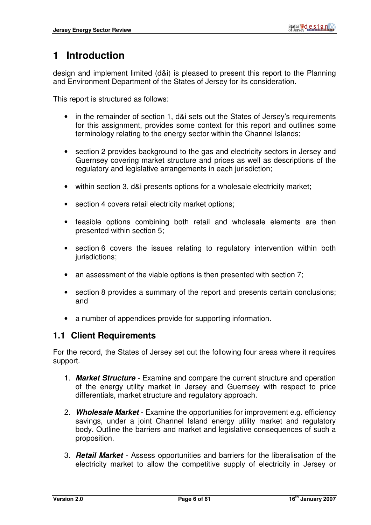# **1 Introduction**

design and implement limited (d&i) is pleased to present this report to the Planning and Environment Department of the States of Jersey for its consideration.

This report is structured as follows:

- in the remainder of section 1, d&i sets out the States of Jersey's requirements for this assignment, provides some context for this report and outlines some terminology relating to the energy sector within the Channel Islands;
- section 2 provides background to the gas and electricity sectors in Jersey and Guernsey covering market structure and prices as well as descriptions of the regulatory and legislative arrangements in each jurisdiction;
- within section 3, d&i presents options for a wholesale electricity market;
- section 4 covers retail electricity market options:
- feasible options combining both retail and wholesale elements are then presented within section 5;
- section 6 covers the issues relating to regulatory intervention within both jurisdictions:
- an assessment of the viable options is then presented with section 7;
- section 8 provides a summary of the report and presents certain conclusions; and
- a number of appendices provide for supporting information.

#### **1.1 Client Requirements**

For the record, the States of Jersey set out the following four areas where it requires support.

- 1. **Market Structure** Examine and compare the current structure and operation of the energy utility market in Jersey and Guernsey with respect to price differentials, market structure and regulatory approach.
- 2. **Wholesale Market** Examine the opportunities for improvement e.g. efficiency savings, under a joint Channel Island energy utility market and regulatory body. Outline the barriers and market and legislative consequences of such a proposition.
- 3. **Retail Market** Assess opportunities and barriers for the liberalisation of the electricity market to allow the competitive supply of electricity in Jersey or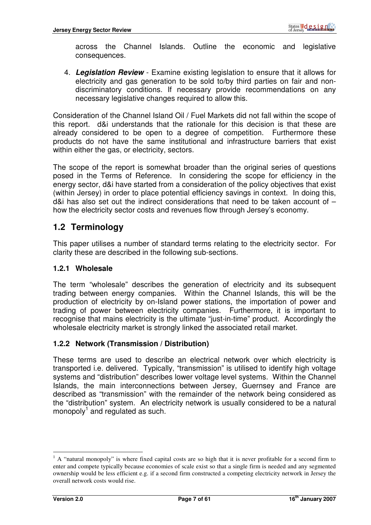across the Channel Islands. Outline the economic and legislative consequences.

4. **Legislation Review** - Examine existing legislation to ensure that it allows for electricity and gas generation to be sold to/by third parties on fair and nondiscriminatory conditions. If necessary provide recommendations on any necessary legislative changes required to allow this.

Consideration of the Channel Island Oil / Fuel Markets did not fall within the scope of this report. d&i understands that the rationale for this decision is that these are already considered to be open to a degree of competition. Furthermore these products do not have the same institutional and infrastructure barriers that exist within either the gas, or electricity, sectors.

The scope of the report is somewhat broader than the original series of questions posed in the Terms of Reference. In considering the scope for efficiency in the energy sector, d&i have started from a consideration of the policy objectives that exist (within Jersey) in order to place potential efficiency savings in context. In doing this, d&i has also set out the indirect considerations that need to be taken account of – how the electricity sector costs and revenues flow through Jersey's economy.

## **1.2 Terminology**

This paper utilises a number of standard terms relating to the electricity sector. For clarity these are described in the following sub-sections.

#### **1.2.1 Wholesale**

The term "wholesale" describes the generation of electricity and its subsequent trading between energy companies. Within the Channel Islands, this will be the production of electricity by on-Island power stations, the importation of power and trading of power between electricity companies. Furthermore, it is important to recognise that mains electricity is the ultimate "just-in-time" product. Accordingly the wholesale electricity market is strongly linked the associated retail market.

#### **1.2.2 Network (Transmission / Distribution)**

These terms are used to describe an electrical network over which electricity is transported i.e. delivered. Typically, "transmission" is utilised to identify high voltage systems and "distribution" describes lower voltage level systems. Within the Channel Islands, the main interconnections between Jersey, Guernsey and France are described as "transmission" with the remainder of the network being considered as the "distribution" system. An electricity network is usually considered to be a natural monopoly<sup>1</sup> and regulated as such.

 $<sup>1</sup>$  A "natural monopoly" is where fixed capital costs are so high that it is never profitable for a second firm to</sup> enter and compete typically because economies of scale exist so that a single firm is needed and any segmented ownership would be less efficient e.g. if a second firm constructed a competing electricity network in Jersey the overall network costs would rise.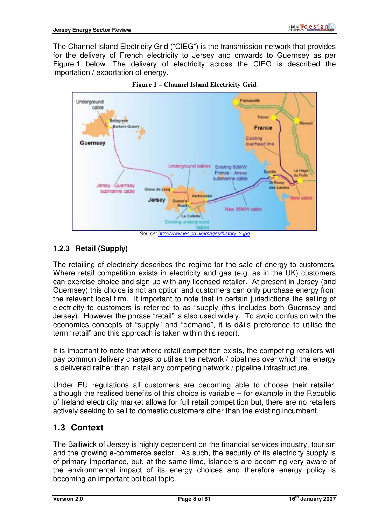The Channel Island Electricity Grid ("CIEG") is the transmission network that provides for the delivery of French electricity to Jersey and onwards to Guernsey as per Figure 1 below. The delivery of electricity across the CIEG is described the importation / exportation of energy.



**Figure 1 – Channel Island Electricity Grid** 

# **1.2.3 Retail (Supply)**

The retailing of electricity describes the regime for the sale of energy to customers. Where retail competition exists in electricity and gas (e.g. as in the UK) customers can exercise choice and sign up with any licensed retailer. At present in Jersey (and Guernsey) this choice is not an option and customers can only purchase energy from the relevant local firm. It important to note that in certain jurisdictions the selling of electricity to customers is referred to as "supply (this includes both Guernsey and Jersey). However the phrase "retail" is also used widely. To avoid confusion with the economics concepts of "supply" and "demand", it is d&i's preference to utilise the term "retail" and this approach is taken within this report.

It is important to note that where retail competition exists, the competing retailers will pay common delivery charges to utilise the network / pipelines over which the energy is delivered rather than install any competing network / pipeline infrastructure.

Under EU regulations all customers are becoming able to choose their retailer, although the realised benefits of this choice is variable – for example in the Republic of Ireland electricity market allows for full retail competition but, there are no retailers actively seeking to sell to domestic customers other than the existing incumbent.

# **1.3 Context**

The Bailiwick of Jersey is highly dependent on the financial services industry, tourism and the growing e-commerce sector. As such, the security of its electricity supply is of primary importance, but, at the same time, islanders are becoming very aware of the environmental impact of its energy choices and therefore energy policy is becoming an important political topic.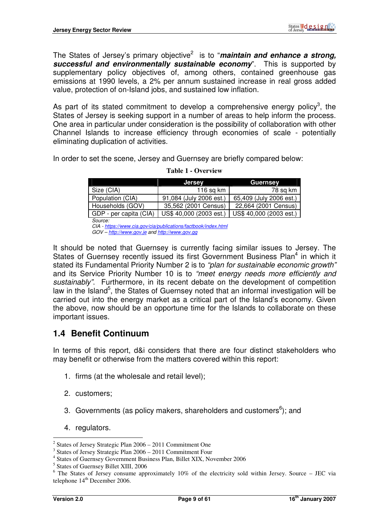The States of Jersey's primary objective<sup>2</sup> is to "**maintain and enhance a strong, successful and environmentally sustainable economy**". This is supported by supplementary policy objectives of, among others, contained greenhouse gas emissions at 1990 levels, a 2% per annum sustained increase in real gross added value, protection of on-Island jobs, and sustained low inflation.

As part of its stated commitment to develop a comprehensive energy policy<sup>3</sup>, the States of Jersey is seeking support in a number of areas to help inform the process. One area in particular under consideration is the possibility of collaboration with other Channel Islands to increase efficiency through economies of scale - potentially eliminating duplication of activities.

In order to set the scene, Jersey and Guernsey are briefly compared below:

|                                                                | <b>Jersey</b>           | <b>Guernsey</b>         |  |  |  |  |  |
|----------------------------------------------------------------|-------------------------|-------------------------|--|--|--|--|--|
| Size (CIA)                                                     | 116 $sq$ km             | 78 sq km                |  |  |  |  |  |
| Population (CIA)                                               | 91,084 (July 2006 est.) | 65,409 (July 2006 est.) |  |  |  |  |  |
| Households (GOV)                                               | 35,562 (2001 Census)    | 22,664 (2001 Census)    |  |  |  |  |  |
| GDP - per capita (CIA)                                         | US\$ 40,000 (2003 est.) | US\$ 40,000 (2003 est.) |  |  |  |  |  |
| Source:                                                        |                         |                         |  |  |  |  |  |
| CIA - https://www.cia.gov/cia/publications/factbook/index.html |                         |                         |  |  |  |  |  |

#### **Table 1 - Overview**

CIA - https://www.cia.gov/cia/publications/factbook/index.html GOV – http://www.gov.je and http://www.gov.gg

It should be noted that Guernsey is currently facing similar issues to Jersey. The States of Guernsey recently issued its first Government Business Plan<sup>4</sup> in which it stated its Fundamental Priority Number 2 is to "plan for sustainable economic growth" and its Service Priority Number 10 is to "meet energy needs more efficiently and sustainably". Furthermore, in its recent debate on the development of competition law in the Island<sup>5</sup>, the States of Guernsey noted that an informal investigation will be carried out into the energy market as a critical part of the Island's economy. Given the above, now should be an opportune time for the Islands to collaborate on these important issues.

## **1.4 Benefit Continuum**

In terms of this report, d&i considers that there are four distinct stakeholders who may benefit or otherwise from the matters covered within this report:

- 1. firms (at the wholesale and retail level);
- 2. customers;
- 3. Governments (as policy makers, shareholders and customers $6$ ); and
- 4. regulators.

 $\overline{a}$ <sup>2</sup> States of Jersey Strategic Plan 2006 – 2011 Commitment One

<sup>3</sup> States of Jersey Strategic Plan 2006 – 2011 Commitment Four

<sup>4</sup> States of Guernsey Government Business Plan, Billet XIX, November 2006

<sup>5</sup> States of Guernsey Billet XIII, 2006

<sup>&</sup>lt;sup>6</sup> The States of Jersey consume approximately 10% of the electricity sold within Jersey. Source - JEC via telephone  $14<sup>th</sup>$  December 2006.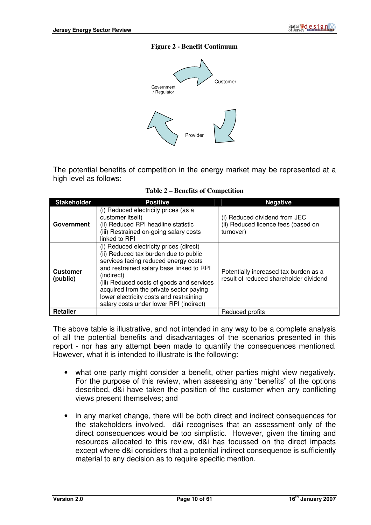#### **Figure 2 - Benefit Continuum**



The potential benefits of competition in the energy market may be represented at a high level as follows:

**Table 2 – Benefits of Competition** 

| <b>Stakeholder</b>          | <b>Positive</b>                                                                                                                                                                                                                                                                                                                                                  | <b>Negative</b>                                                                   |
|-----------------------------|------------------------------------------------------------------------------------------------------------------------------------------------------------------------------------------------------------------------------------------------------------------------------------------------------------------------------------------------------------------|-----------------------------------------------------------------------------------|
| Government                  | (i) Reduced electricity prices (as a<br>customer itself)<br>(ii) Reduced RPI headline statistic<br>(iii) Restrained on-going salary costs<br>linked to RPI                                                                                                                                                                                                       | (i) Reduced dividend from JEC<br>(ii) Reduced licence fees (based on<br>turnover) |
| <b>Customer</b><br>(public) | (i) Reduced electricity prices (direct)<br>(ii) Reduced tax burden due to public<br>services facing reduced energy costs<br>and restrained salary base linked to RPI<br>(indirect)<br>(iii) Reduced costs of goods and services<br>acquired from the private sector paying<br>lower electricity costs and restraining<br>salary costs under lower RPI (indirect) | Potentially increased tax burden as a<br>result of reduced shareholder dividend   |
| Retailer                    |                                                                                                                                                                                                                                                                                                                                                                  | Reduced profits                                                                   |

The above table is illustrative, and not intended in any way to be a complete analysis of all the potential benefits and disadvantages of the scenarios presented in this report - nor has any attempt been made to quantify the consequences mentioned. However, what it is intended to illustrate is the following:

- what one party might consider a benefit, other parties might view negatively. For the purpose of this review, when assessing any "benefits" of the options described, d&i have taken the position of the customer when any conflicting views present themselves; and
- in any market change, there will be both direct and indirect consequences for the stakeholders involved. d&i recognises that an assessment only of the direct consequences would be too simplistic. However, given the timing and resources allocated to this review, d&i has focussed on the direct impacts except where d&i considers that a potential indirect consequence is sufficiently material to any decision as to require specific mention.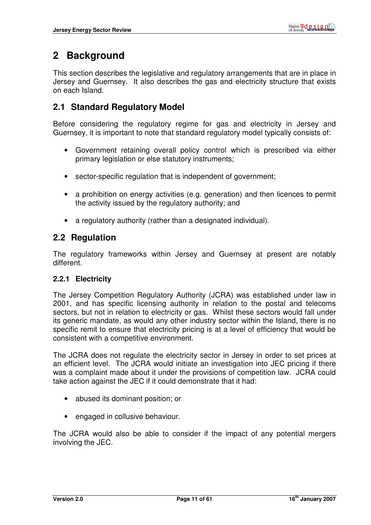# **2 Background**

This section describes the legislative and regulatory arrangements that are in place in Jersey and Guernsey. It also describes the gas and electricity structure that exists on each Island.

# **2.1 Standard Regulatory Model**

Before considering the regulatory regime for gas and electricity in Jersey and Guernsey, it is important to note that standard regulatory model typically consists of:

- Government retaining overall policy control which is prescribed via either primary legislation or else statutory instruments;
- sector-specific regulation that is independent of government:
- a prohibition on energy activities (e.g. generation) and then licences to permit the activity issued by the regulatory authority; and
- a regulatory authority (rather than a designated individual).

## **2.2 Regulation**

The regulatory frameworks within Jersey and Guernsey at present are notably different.

#### **2.2.1 Electricity**

The Jersey Competition Regulatory Authority (JCRA) was established under law in 2001, and has specific licensing authority in relation to the postal and telecoms sectors, but not in relation to electricity or gas. Whilst these sectors would fall under its generic mandate, as would any other industry sector within the Island, there is no specific remit to ensure that electricity pricing is at a level of efficiency that would be consistent with a competitive environment.

The JCRA does not regulate the electricity sector in Jersey in order to set prices at an efficient level. The JCRA would initiate an investigation into JEC pricing if there was a complaint made about it under the provisions of competition law. JCRA could take action against the JEC if it could demonstrate that it had:

- abused its dominant position; or
- engaged in collusive behaviour.

The JCRA would also be able to consider if the impact of any potential mergers involving the JEC.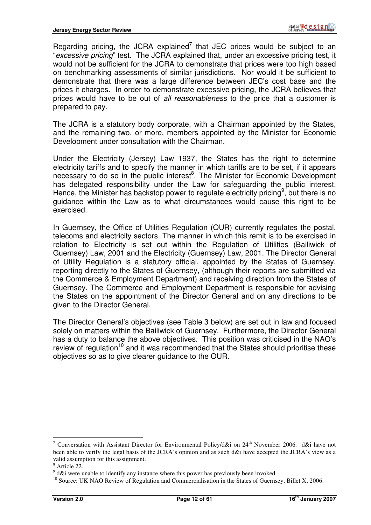Regarding pricing, the JCRA explained<sup>7</sup> that JEC prices would be subject to an "excessive pricing" test. The JCRA explained that, under an excessive pricing test, it would not be sufficient for the JCRA to demonstrate that prices were too high based on benchmarking assessments of similar jurisdictions. Nor would it be sufficient to demonstrate that there was a large difference between JEC's cost base and the prices it charges. In order to demonstrate excessive pricing, the JCRA believes that prices would have to be out of all reasonableness to the price that a customer is prepared to pay.

The JCRA is a statutory body corporate, with a Chairman appointed by the States, and the remaining two, or more, members appointed by the Minister for Economic Development under consultation with the Chairman.

Under the Electricity (Jersey) Law 1937, the States has the right to determine electricity tariffs and to specify the manner in which tariffs are to be set, if it appears necessary to do so in the public interest<sup>8</sup>. The Minister for Economic Development has delegated responsibility under the Law for safeguarding the public interest. Hence, the Minister has backstop power to regulate electricity pricing<sup>9</sup>, but there is no guidance within the Law as to what circumstances would cause this right to be exercised.

In Guernsey, the Office of Utilities Regulation (OUR) currently regulates the postal, telecoms and electricity sectors. The manner in which this remit is to be exercised in relation to Electricity is set out within the Regulation of Utilities (Bailiwick of Guernsey) Law, 2001 and the Electricity (Guernsey) Law, 2001. The Director General of Utility Regulation is a statutory official, appointed by the States of Guernsey, reporting directly to the States of Guernsey, (although their reports are submitted via the Commerce & Employment Department) and receiving direction from the States of Guernsey. The Commerce and Employment Department is responsible for advising the States on the appointment of the Director General and on any directions to be given to the Director General.

The Director General's objectives (see Table 3 below) are set out in law and focused solely on matters within the Bailiwick of Guernsey. Furthermore, the Director General has a duty to balance the above objectives. This position was criticised in the NAO's review of regulation<sup>10</sup> and it was recommended that the States should prioritise these objectives so as to give clearer guidance to the OUR.

<sup>&</sup>lt;sup>7</sup> Conversation with Assistant Director for Environmental Policy/d&i on  $24<sup>th</sup>$  November 2006. d&i have not been able to verify the legal basis of the JCRA's opinion and as such d&i have accepted the JCRA's view as a valid assumption for this assignment.

<sup>8</sup> Article 22.

 $9$  d&i were unable to identify any instance where this power has previously been invoked.

<sup>&</sup>lt;sup>10</sup> Source: UK NAO Review of Regulation and Commercialisation in the States of Guernsey, Billet X, 2006.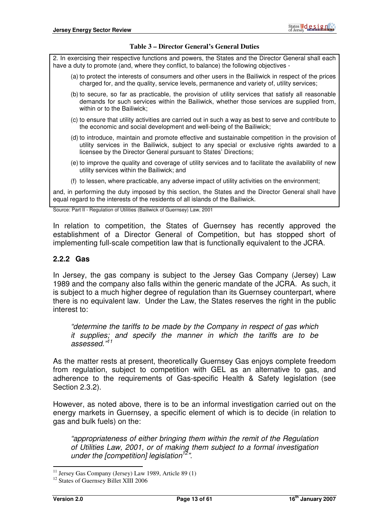#### **Table 3 – Director General's General Duties**

2. In exercising their respective functions and powers, the States and the Director General shall each have a duty to promote (and, where they conflict, to balance) the following objectives -

- (a) to protect the interests of consumers and other users in the Bailiwick in respect of the prices charged for, and the quality, service levels, permanence and variety of, utility services;
- (b) to secure, so far as practicable, the provision of utility services that satisfy all reasonable demands for such services within the Bailiwick, whether those services are supplied from, within or to the Bailiwick;
- (c) to ensure that utility activities are carried out in such a way as best to serve and contribute to the economic and social development and well-being of the Bailiwick;
- (d) to introduce, maintain and promote effective and sustainable competition in the provision of utility services in the Bailiwick, subject to any special or exclusive rights awarded to a licensee by the Director General pursuant to States' Directions;
- (e) to improve the quality and coverage of utility services and to facilitate the availability of new utility services within the Bailiwick; and
- (f) to lessen, where practicable, any adverse impact of utility activities on the environment;

and, in performing the duty imposed by this section, the States and the Director General shall have equal regard to the interests of the residents of all islands of the Bailiwick.

Source: Part II - Regulation of Utilities (Bailiwick of Guernsey) Law, 2001

In relation to competition, the States of Guernsey has recently approved the establishment of a Director General of Competition, but has stopped short of implementing full-scale competition law that is functionally equivalent to the JCRA.

#### **2.2.2 Gas**

In Jersey, the gas company is subject to the Jersey Gas Company (Jersey) Law 1989 and the company also falls within the generic mandate of the JCRA. As such, it is subject to a much higher degree of regulation than its Guernsey counterpart, where there is no equivalent law. Under the Law, the States reserves the right in the public interest to:

"determine the tariffs to be made by the Company in respect of gas which it supplies; and specify the manner in which the tariffs are to be assessed."<sup>11</sup>

As the matter rests at present, theoretically Guernsey Gas enjoys complete freedom from regulation, subject to competition with GEL as an alternative to gas, and adherence to the requirements of Gas-specific Health & Safety legislation (see Section 2.3.2).

However, as noted above, there is to be an informal investigation carried out on the energy markets in Guernsey, a specific element of which is to decide (in relation to gas and bulk fuels) on the:

"appropriateness of either bringing them within the remit of the Regulation of Utilities Law, 2001, or of making them subject to a formal investigation under the [competition] legislation<sup>12</sup>".

<sup>&</sup>lt;sup>11</sup> Jersey Gas Company (Jersey) Law 1989, Article 89  $(1)$ 

<sup>&</sup>lt;sup>12</sup> States of Guernsey Billet XIII 2006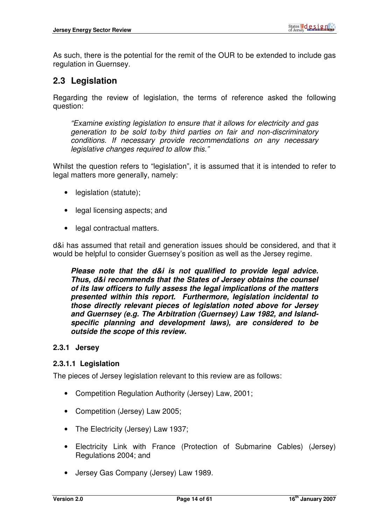As such, there is the potential for the remit of the OUR to be extended to include gas regulation in Guernsey.

# **2.3 Legislation**

Regarding the review of legislation, the terms of reference asked the following question:

"Examine existing legislation to ensure that it allows for electricity and gas generation to be sold to/by third parties on fair and non-discriminatory conditions. If necessary provide recommendations on any necessary legislative changes required to allow this."

Whilst the question refers to "legislation", it is assumed that it is intended to refer to legal matters more generally, namely:

- legislation (statute);
- legal licensing aspects; and
- legal contractual matters.

d&i has assumed that retail and generation issues should be considered, and that it would be helpful to consider Guernsey's position as well as the Jersey regime.

**Please note that the d&i is not qualified to provide legal advice. Thus, d&i recommends that the States of Jersey obtains the counsel of its law officers to fully assess the legal implications of the matters presented within this report. Furthermore, legislation incidental to those directly relevant pieces of legislation noted above for Jersey and Guernsey (e.g. The Arbitration (Guernsey) Law 1982, and Islandspecific planning and development laws), are considered to be outside the scope of this review.** 

#### **2.3.1 Jersey**

#### **2.3.1.1 Legislation**

The pieces of Jersey legislation relevant to this review are as follows:

- Competition Regulation Authority (Jersey) Law, 2001;
- Competition (Jersey) Law 2005;
- The Electricity (Jersey) Law 1937;
- Electricity Link with France (Protection of Submarine Cables) (Jersey) Regulations 2004; and
- Jersey Gas Company (Jersey) Law 1989.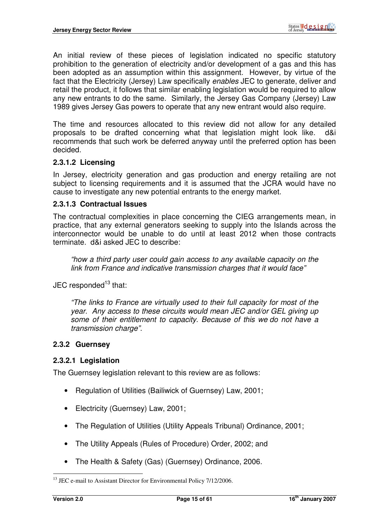An initial review of these pieces of legislation indicated no specific statutory prohibition to the generation of electricity and/or development of a gas and this has been adopted as an assumption within this assignment. However, by virtue of the fact that the Electricity (Jersey) Law specifically enables JEC to generate, deliver and retail the product, it follows that similar enabling legislation would be required to allow any new entrants to do the same. Similarly, the Jersey Gas Company (Jersey) Law 1989 gives Jersey Gas powers to operate that any new entrant would also require.

The time and resources allocated to this review did not allow for any detailed proposals to be drafted concerning what that legislation might look like. d&i recommends that such work be deferred anyway until the preferred option has been decided.

#### **2.3.1.2 Licensing**

In Jersey, electricity generation and gas production and energy retailing are not subject to licensing requirements and it is assumed that the JCRA would have no cause to investigate any new potential entrants to the energy market.

#### **2.3.1.3 Contractual Issues**

The contractual complexities in place concerning the CIEG arrangements mean, in practice, that any external generators seeking to supply into the Islands across the interconnector would be unable to do until at least 2012 when those contracts terminate. d&i asked JEC to describe:

"how a third party user could gain access to any available capacity on the link from France and indicative transmission charges that it would face"

 $JEC$  responded<sup>13</sup> that:

"The links to France are virtually used to their full capacity for most of the year. Any access to these circuits would mean JEC and/or GEL giving up some of their entitlement to capacity. Because of this we do not have a transmission charge".

#### **2.3.2 Guernsey**

#### **2.3.2.1 Legislation**

The Guernsey legislation relevant to this review are as follows:

- Regulation of Utilities (Bailiwick of Guernsey) Law, 2001;
- Electricity (Guernsey) Law, 2001;
- The Regulation of Utilities (Utility Appeals Tribunal) Ordinance, 2001;
- The Utility Appeals (Rules of Procedure) Order, 2002; and
- The Health & Safety (Gas) (Guernsey) Ordinance, 2006.

 $\overline{a}$  $13$  JEC e-mail to Assistant Director for Environmental Policy  $7/12/2006$ .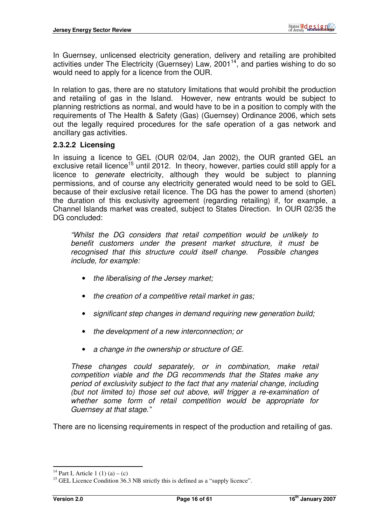In Guernsey, unlicensed electricity generation, delivery and retailing are prohibited activities under The Electricity (Guernsey) Law,  $2001^{14}$ , and parties wishing to do so would need to apply for a licence from the OUR.

In relation to gas, there are no statutory limitations that would prohibit the production and retailing of gas in the Island. However, new entrants would be subject to planning restrictions as normal, and would have to be in a position to comply with the requirements of The Health & Safety (Gas) (Guernsey) Ordinance 2006, which sets out the legally required procedures for the safe operation of a gas network and ancillary gas activities.

#### **2.3.2.2 Licensing**

In issuing a licence to GEL (OUR 02/04, Jan 2002), the OUR granted GEL an exclusive retail licence<sup>15</sup> until 2012. In theory, however, parties could still apply for a licence to generate electricity, although they would be subject to planning permissions, and of course any electricity generated would need to be sold to GEL because of their exclusive retail licence. The DG has the power to amend (shorten) the duration of this exclusivity agreement (regarding retailing) if, for example, a Channel Islands market was created, subject to States Direction. In OUR 02/35 the DG concluded:

"Whilst the DG considers that retail competition would be unlikely to benefit customers under the present market structure, it must be recognised that this structure could itself change. Possible changes include, for example:

- the liberalising of the Jersey market;
- the creation of a competitive retail market in gas;
- significant step changes in demand requiring new generation build;
- the development of a new interconnection; or
- a change in the ownership or structure of GE.

These changes could separately, or in combination, make retail competition viable and the DG recommends that the States make any period of exclusivity subject to the fact that any material change, including (but not limited to) those set out above, will trigger a re-examination of whether some form of retail competition would be appropriate for Guernsey at that stage."

There are no licensing requirements in respect of the production and retailing of gas.

 $\overline{a}$ <sup>14</sup> Part I, Article 1 (1) (a) – (c)

<sup>&</sup>lt;sup>15</sup> GEL Licence Condition 36.3 NB strictly this is defined as a "supply licence".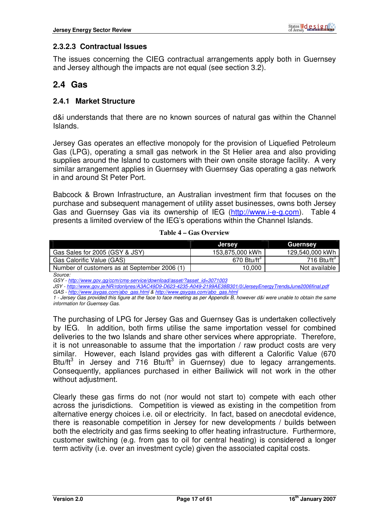#### **2.3.2.3 Contractual Issues**

The issues concerning the CIEG contractual arrangements apply both in Guernsey and Jersey although the impacts are not equal (see section 3.2).

## **2.4 Gas**

#### **2.4.1 Market Structure**

d&i understands that there are no known sources of natural gas within the Channel Islands.

Jersey Gas operates an effective monopoly for the provision of Liquefied Petroleum Gas (LPG), operating a small gas network in the St Helier area and also providing supplies around the Island to customers with their own onsite storage facility. A very similar arrangement applies in Guernsey with Guernsey Gas operating a gas network in and around St Peter Port.

Babcock & Brown Infrastructure, an Australian investment firm that focuses on the purchase and subsequent management of utility asset businesses, owns both Jersey Gas and Guernsey Gas via its ownership of IEG (http://www.i-e-g.com). Table 4 presents a limited overview of the IEG's operations within the Channel Islands.

#### **Table 4 – Gas Overview**

|                                              | <b>Jersey</b>             | Guernsey                 |
|----------------------------------------------|---------------------------|--------------------------|
| Gas Sales for 2005 (GSY & JSY)               | 153,875,000 kWh           | 129,540,000 kWh          |
| Gas Calorific Value (GAS)                    | $670$ Btu/ft <sup>3</sup> | 716 Btu/ft $\mathrm{^3}$ |
| Number of customers as at September 2006 (1) | 10,000                    | Not available            |

Source:

GSY - http://www.gov.gg/ccm/cms-service/download/asset/?asset\_id=3071003

JSY - http://www.gov.je/NR/rdonlyres/A3AC49D9-D623-4235-A049-2199AE38B301/0/JerseyEnergyTrendsJune2006final.pdf GAS - http://www.jsygas.com/abo\_gas.html & http://www.gsygas.com/abo\_gas.html

1 - Jersey Gas provided this figure at the face to face meeting as per Appendix B, however d&i were unable to obtain the same information for Guernsey Gas.

The purchasing of LPG for Jersey Gas and Guernsey Gas is undertaken collectively by IEG. In addition, both firms utilise the same importation vessel for combined deliveries to the two Islands and share other services where appropriate. Therefore, it is not unreasonable to assume that the importation / raw product costs are very similar. However, each Island provides gas with different a Calorific Value (670 Btu/ft<sup>3</sup> in Jersey and 716 Btu/ft<sup>3</sup> in Guernsey) due to legacy arrangements. Consequently, appliances purchased in either Bailiwick will not work in the other without adjustment.

Clearly these gas firms do not (nor would not start to) compete with each other across the jurisdictions. Competition is viewed as existing in the competition from alternative energy choices i.e. oil or electricity. In fact, based on anecdotal evidence, there is reasonable competition in Jersey for new developments / builds between both the electricity and gas firms seeking to offer heating infrastructure. Furthermore, customer switching (e.g. from gas to oil for central heating) is considered a longer term activity (i.e. over an investment cycle) given the associated capital costs.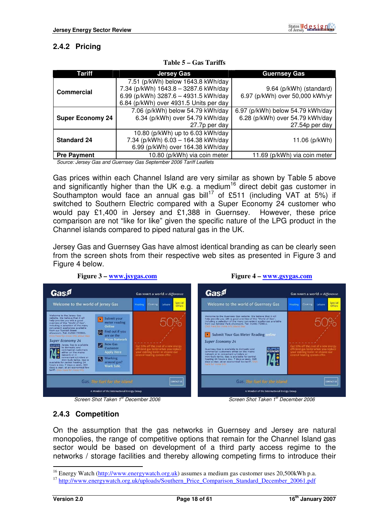# **2.4.2 Pricing**

| Tariff                  | <b>Jersey Gas</b>                                                                                                                                           | <b>Guernsey Gas</b>                                                                   |
|-------------------------|-------------------------------------------------------------------------------------------------------------------------------------------------------------|---------------------------------------------------------------------------------------|
| Commercial              | 7.51 (p/kWh) below 1643.8 kWh/day<br>7.34 (p/kWh) 1643.8 - 3287.6 kWh/day<br>6.99 (p/kWh) 3287.6 - 4931.5 kWh/day<br>6.84 (p/kWh) over 4931.5 Units per day | 9.64 (p/kWh) (standard)<br>6.97 (p/kWh) over 50,000 kWh/yr                            |
| <b>Super Economy 24</b> | 7.06 (p/kWh) below 54.79 kWh/day<br>6.34 (p/kWh) over 54.79 kWh/day<br>27.7p per day                                                                        | 6.97 (p/kWh) below 54.79 kWh/day<br>6.28 (p/kWh) over 54.79 kWh/day<br>27.54p per day |
| <b>Standard 24</b>      | 10.80 (p/kWh) up to 6.03 kWh/day<br>7.34 (p/kWh) 6.03 - 164.38 kWh/day<br>6.99 (p/kWh) over 164.38 kWh/day                                                  | 11.06 (p/kWh)                                                                         |
| <b>Pre Payment</b>      | 10.80 (p/kWh) via coin meter                                                                                                                                | 11.69 (p/kWh) via coin meter                                                          |

|  |  | Table 5 – Gas Tariffs |
|--|--|-----------------------|
|--|--|-----------------------|

Source: Jersey Gas and Guernsey Gas September 2006 Tariff Leaflets

Gas prices within each Channel Island are very similar as shown by Table 5 above and significantly higher than the UK e.g. a medium<sup>16</sup> direct debit gas customer in Southampton would face an annual gas bill<sup>17</sup> of £511 (including VAT at 5%) if switched to Southern Electric compared with a Super Economy 24 customer who would pay £1,400 in Jersey and £1,388 in Guernsey. However, these price comparison are not "like for like" given the specific nature of the LPG product in the Channel islands compared to piped natural gas in the UK.

Jersey Gas and Guernsey Gas have almost identical branding as can be clearly seen from the screen shots from their respective web sites as presented in Figure 3 and Figure 4 below.





**Figure 4 – www.gsygas.com**

#### **2.4.3 Competition**

On the assumption that the gas networks in Guernsey and Jersey are natural monopolies, the range of competitive options that remain for the Channel Island gas sector would be based on development of a third party access regime to the networks / storage facilities and thereby allowing competing firms to introduce their

<sup>&</sup>lt;sup>16</sup> Energy Watch (http://www.energywatch.org.uk) assumes a medium gas customer uses 20,500kWh p.a.

<sup>&</sup>lt;sup>17</sup> http://www.energywatch.org.uk/uploads/Southern\_Price\_Comparison\_Standard\_December\_20061.pdf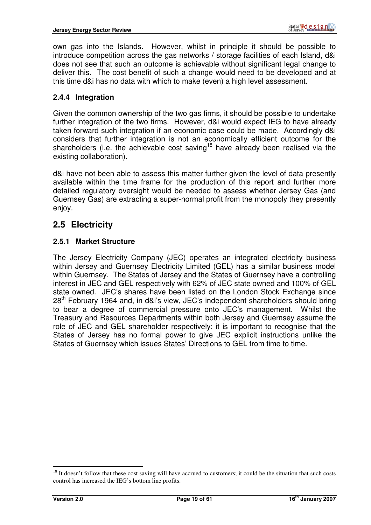own gas into the Islands. However, whilst in principle it should be possible to introduce competition across the gas networks / storage facilities of each Island, d&i does not see that such an outcome is achievable without significant legal change to deliver this. The cost benefit of such a change would need to be developed and at this time d&i has no data with which to make (even) a high level assessment.

#### **2.4.4 Integration**

Given the common ownership of the two gas firms, it should be possible to undertake further integration of the two firms. However, d&i would expect IEG to have already taken forward such integration if an economic case could be made. Accordingly d&i considers that further integration is not an economically efficient outcome for the shareholders (i.e. the achievable cost saving<sup>18</sup> have already been realised via the existing collaboration).

d&i have not been able to assess this matter further given the level of data presently available within the time frame for the production of this report and further more detailed regulatory oversight would be needed to assess whether Jersey Gas (and Guernsey Gas) are extracting a super-normal profit from the monopoly they presently enjoy.

# **2.5 Electricity**

#### **2.5.1 Market Structure**

The Jersey Electricity Company (JEC) operates an integrated electricity business within Jersey and Guernsey Electricity Limited (GEL) has a similar business model within Guernsey. The States of Jersey and the States of Guernsey have a controlling interest in JEC and GEL respectively with 62% of JEC state owned and 100% of GEL state owned. JEC's shares have been listed on the London Stock Exchange since 28th February 1964 and, in d&i's view, JEC's independent shareholders should bring to bear a degree of commercial pressure onto JEC's management. Whilst the Treasury and Resources Departments within both Jersey and Guernsey assume the role of JEC and GEL shareholder respectively; it is important to recognise that the States of Jersey has no formal power to give JEC explicit instructions unlike the States of Guernsey which issues States' Directions to GEL from time to time.

 $18$  It doesn't follow that these cost saving will have accrued to customers; it could be the situation that such costs control has increased the IEG's bottom line profits.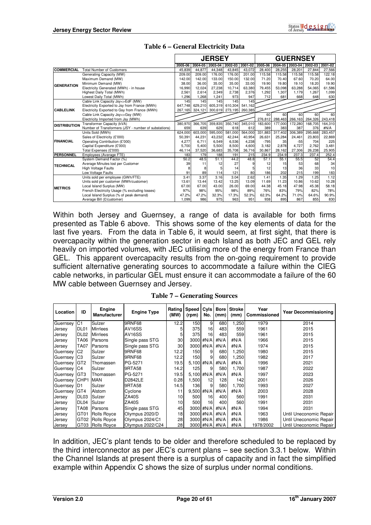|                     |                                                      | <b>JERSEY</b> |         |             |                 | <b>GUERNSEY</b> |         |         |             |         |         |
|---------------------|------------------------------------------------------|---------------|---------|-------------|-----------------|-----------------|---------|---------|-------------|---------|---------|
|                     |                                                      | 2005-06       | 2004-05 | $2003 - 04$ | 2002-03         | 2001-02         | 2005-06 | 2004-05 | $2003 - 04$ | 2002-03 | 2001-02 |
| <b>COMMERCIAL</b>   | <b>Total Number of Customers</b>                     | 45.839        | 44.877  | 44.348      | 43.845          | 43.072          | 28,400  | 28.255  | 28.201      | 27.844  | 27,566  |
|                     | Generating Capacity (MW)                             | 209.00        | 209.00  | 176.00      | 176.00          | 201.00          | 115.58  | 115.58  | 115.58      | 115.58  | 122.18  |
|                     | Maximum Demand (MW)                                  | 142.00        | 142.00  | 133.00      | 150.00          | 132.00          | 71.20   | 70.40   | 67.60       | 70.20   | 64.00   |
| <b>GENERATION</b>   | Minimum Demand (MW)                                  | 38.00         | 36.00   | 35.00       | 35.00           | 33.00           | 19.90   | 19.80   | 19.10       | 18.20   | 19.90   |
|                     | Electricity Generated (MWh) - in house               | 16,990        | 12,024  | 27,238      | 10,714          | 63,380          | 79,455  | 53,098  | 63,288      | 54,065  | 61,586  |
|                     | Highest Daily Total (MWh)                            | 2,561         | 2.614   | 2,349       | 2,738           | 2,376           | 1,292   | 1.307   | 1,179       | 1.267   | 1,099   |
|                     | Lowest Daily Total (MWh)                             | ,296          | 1,268   | 1,241       | 973             | 947             | 712     | 681     | 668         | 648     | 630     |
|                     | Cable Link Capacity Jsy<>EdF (MW)                    | 145           | 145     | 145         | 145             | 145             |         |         |             |         |         |
|                     | Electricity Exported to Jsy from France (MWh)        | 647.748       | 629.210 | 605.319     | 610,304         | 541.162         |         |         |             |         |         |
| <b>CABLELINK</b>    | Electricity Exported to Gsy from France (MWh)        | 267.165       | 324.121 |             | 300,619 273,195 | 260,385         |         |         |             |         |         |
|                     | Cable Link Capacity Jsy<>Gsy (MW)                    |               |         |             |                 |                 | 60      | 60      | 60          | 60      | 60      |
|                     | Electricity Imported from Jsy (MWh)                  |               |         |             |                 |                 | 276,812 | 288,463 | 266,163     | 264,326 | 243,418 |
| <b>DISTRIBUTION</b> | Transformer Capacity (kVA)                           | 380,970       | 366,705 | 359,835     | 350,740         | 345,010         | 183.600 | 177,000 | 172,280     | 168.705 | 164.310 |
|                     | Number of Transformers (JSY - number of substations) | 659           | 639     | 629         | 618             | 612             | 389     | 383     | 387         | 376     | #N/A    |
|                     | Units Sold (MWh)                                     | 624.000       | 603.000 | 595.000     | 581.000         | 564.000         | 331.883 | 317.402 | 306.389     | 295.668 | 283,457 |
|                     | Sales of Electricity (£'000)                         | 50,391        | 44,231  | 43.232      | 42.244          | 40,954          | 26,631  | 25,284  | 24,461      | 23,803  | 22,869  |
| <b>FINANCIAL</b>    | Operating Contribution (£'000)                       | 4,277         | 6,711   | 6,549       | 6,536           | 4,238           | $-795$  | 35      | $-55$       | 704     | 225     |
|                     | Capital Expenditure (£'000)                          | 5.700         | 5,400   | 5,500       | 8.500           | 4.600           | 3.182   | 2.878   | 4.727       | 2.762   | 3,481   |
|                     | Total Expenses (£'000)                               | 46,114        | 37,520  | 36,683      | 35,708          | 36,716          | 30,867  | 28,162  | 27,306      | 26,238  | 25,905  |
| <b>PERSONNEL</b>    | Employees (Average FTE)                              | 183           | 179     | 188         | 191             | 215             | 234.9   | 234.9   | 237.3       | 237.4   | 252.4   |
|                     | System Demand Factor (%)                             | 50.2          | 48.5    | 51.1        | 44.2            | 48.8            | 57.1    | 55.1    | 55.5        | 52      | 54.4    |
| <b>TECHNICAL</b>    | Average Minutes lost per Customer                    | 39            | 11      | 12          | 27              |                 | 12      | 15      | 53          | 68      | 34      |
|                     | <b>High Voltage Faults</b>                           |               |         |             | 14              |                 | 12      | 13      | 36          | 33      | 10      |
|                     | Low Voltage Faults                                   | 91            | 89      | 114         | 121             | 80              | 186     | 202     | 215         | 199     | 183     |
|                     | Units sold per employee (GWh/FTE)                    | 3.41          | 3.37    | 3.16        | 3.04            | 2.62            | 1.41    | 1.35    | 1.29        | 1.25    | 1.12    |
|                     | Units sold per customer (MWh/customer)               | 13.61         | 13.44   | 13.42       | 13.25           | 13.09           | 11.69   | 11.23   | 10.86       | 10.62   | 10.28   |
| <b>METRICS</b>      | Local Island Surplus (MW)                            | 67.00         | 67.00   | 43.00       | 26.00           | 69.00           | 44.38   | 45.18   | 47.98       | 45.38   | 58.18   |
|                     | French Electricity Usage (% excluding losses)        | 97%           | 98%     | 95%         | 98%             | 89%             | 76%     | 83%     | 79%         | 82%     | 78%     |
|                     | Local Island Surplus (% of peak demand)              | 47.2%         | 47.2%   | 32.3%       | 17.3%           | 52.3%           | 62.3%   | 64.2%   | 71.0%       | 64.6%   | 90.9%   |
|                     | Average Bill (£/customer)                            | 1.099         | 986     | 975         | 963             | 951             | 938     | 895     | 867         | 855     | 830     |

#### **Table 6 – General Electricity Data**

Within both Jersey and Guernsey, a range of data is available for both firms presented as Table 6 above. This shows some of the key elements of data for the last five years. From the data in Table 6, it would seem, at first sight, that there is overcapacity within the generation sector in each Island as both JEC and GEL rely heavily on imported volumes, with JEC utilising more of the energy from France than GEL. This apparent overcapacity results from the on-going requirement to provide sufficient alternative generating sources to accommodate a failure within the CIEG cable networks, in particular GEL must ensure it can accommodate a failure of the 60 MW cable between Guernsey and Jersey.

| Location      | ID               | Engine<br><b>Manufacturer</b> | <b>Engine Type</b>  | Rating<br>(MW)  | Speed<br>(rpm) | Cyls<br>No.    | <b>Bore</b><br>(mm) | <b>Stroke</b><br>(mm) | Year<br><b>Commissioned</b> | <b>Year Decommissioning</b> |  |
|---------------|------------------|-------------------------------|---------------------|-----------------|----------------|----------------|---------------------|-----------------------|-----------------------------|-----------------------------|--|
| Guernsey      | C <sub>1</sub>   | Sulzer                        | 9RNF68              | 12.2            | 150            | 9              | 680                 | 1,250                 | 1979                        | 2014                        |  |
| Jersey        | DL <sub>01</sub> | Mirrlees                      | AV <sub>16</sub> SS | 5               | 375            | 16             | 483                 | 559                   | 1961                        | 2015                        |  |
| Jersey        | DL <sub>02</sub> | Mirrlees                      | AV16SS              | 5               | 375            | 16             | 483                 | 559                   | 1961                        | 2015                        |  |
| Jersev        | TA06             | <b>Parsons</b>                | Single pass STG     | 30 <sup>2</sup> |                | 3000 #N/A      | #N/A                | #N/A                  | 1966                        | 2015                        |  |
| Jersev        | <b>TA07</b>      | Parsons                       | Single pass STG     | 30              |                | 3000 #N/A      | #N/A                | #N/A                  | 1974                        | 2015                        |  |
| Guernsey      | C2               | Sulzer                        | 9RNF68              | 12.2            | 150            | 9              | 680                 | 1,250                 | 1980                        | 2015                        |  |
| Guernsey      | C <sub>3</sub>   | Sulzer                        | 9RNF68              | 12.2            | 150            | 9              | 680                 | 1,250                 | 1982                        | 2017                        |  |
| Guernsey      | IGT <sub>2</sub> | Thomassen                     | PG-5271             | 19.5            |                | 5,100 #N/A     | #N/A                | #N/A                  | 1996                        | 2021                        |  |
| Guernsey      | C <sub>4</sub>   | Sulzer                        | 9RTA58              | 14.2            | 125            | 9              | 580                 | 1,700                 | 1987                        | 2022                        |  |
| Guernsey      | GT <sub>3</sub>  | Thomassen                     | PG-5271             | 19.5            | $5,100$ #N/A   |                | #N/A                | #N/A                  | 1997                        | 2023                        |  |
| Guernsey CHP1 |                  | <b>IMAN</b>                   | D2842LE             | 0.28            | 1,500          | 12             | 128                 | 142                   | 2001                        | 2026                        |  |
| Guernsey      | ID <sub>1</sub>  | Sulzer                        | 9RTA58              | 14.5            | 136            | 9              | 580                 | 1,700                 | 1993                        | 2027                        |  |
| Guernsey      | GT4              | Alstom                        | Cyclone             | 11              | $9,500$ #N/A   |                | #N/A                | #N/A                  | 2003                        | 2028                        |  |
| Jersey        | DL <sub>03</sub> | <b>Sulzer</b>                 | ZA40S               | 10              | 500            | 16             | 400                 | 560                   | 1991                        | 2031                        |  |
| Jersey        | DL04             | Sulzer                        | ZA40S               | 10              | 500            | 16             | 400                 | 560                   | 1991                        | 2031                        |  |
| Jersey        | TA08             | <b>Parsons</b>                | Single pass STG     | 45              |                | 3000 #N/A      | #N/A                | #N/A                  | 1994                        | 2031                        |  |
| Jersey        | GT <sub>01</sub> | Rolls Royce                   | Olympus 2020/D      | 18              |                | 3000 #N/A      | #N/A                | #N/A                  | 1963                        | Until Uneconomic Repair     |  |
| Jersey        | GT02             | <b>Rolls Royce</b>            | Olympus 2024/C1     | 28              |                | 3000 #N/A      | #N/A                | #N/A                  | 1986                        | Until Uneconomic Repair     |  |
| Jersey        |                  | GT03 Rolls Royce              | Olympus 2022/C24    | 28              |                | 3000 #N/A #N/A |                     | #N/A                  | 1978/2002                   | Until Uneconomic Repair     |  |

**Table 7 – Generating Sources** 

In addition, JEC's plant tends to be older and therefore scheduled to be replaced by the third interconnector as per JEC's current plans – see section 3.3.1 below. Within the Channel Islands at present there is a surplus of capacity and in fact the simplified example within Appendix C shows the size of surplus under normal conditions.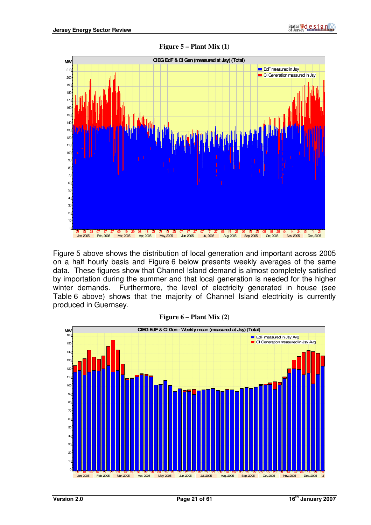

Figure 5 above shows the distribution of local generation and important across 2005 on a half hourly basis and Figure 6 below presents weekly averages of the same data. These figures show that Channel Island demand is almost completely satisfied by importation during the summer and that local generation is needed for the higher winter demands. Furthermore, the level of electricity generated in house (see Table 6 above) shows that the majority of Channel Island electricity is currently produced in Guernsey.



#### **Figure 6 – Plant Mix (2)**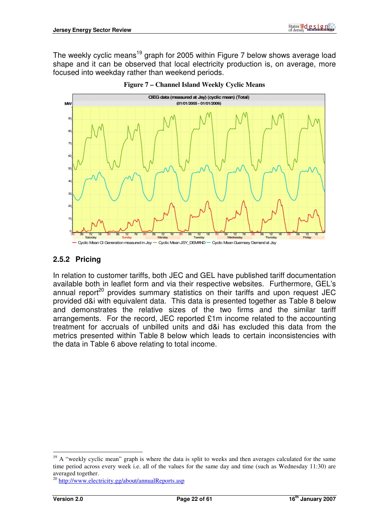The weekly cyclic means<sup>19</sup> graph for 2005 within Figure 7 below shows average load shape and it can be observed that local electricity production is, on average, more focused into weekday rather than weekend periods.





#### **2.5.2 Pricing**

In relation to customer tariffs, both JEC and GEL have published tariff documentation available both in leaflet form and via their respective websites. Furthermore, GEL's annual report<sup>20</sup> provides summary statistics on their tariffs and upon request JEC provided d&i with equivalent data. This data is presented together as Table 8 below and demonstrates the relative sizes of the two firms and the similar tariff arrangements. For the record, JEC reported £1m income related to the accounting treatment for accruals of unbilled units and d&i has excluded this data from the metrics presented within Table 8 below which leads to certain inconsistencies with the data in Table 6 above relating to total income.

 $19$  A "weekly cyclic mean" graph is where the data is split to weeks and then averages calculated for the same time period across every week i.e. all of the values for the same day and time (such as Wednesday 11:30) are averaged together.

<sup>20</sup> http://www.electricity.gg/about/annualReports.asp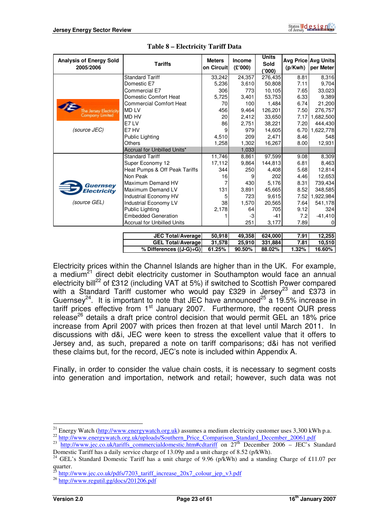| <b>Analysis of Energy Sold</b><br>2005/2006 | <b>Tariffs</b>                    | <b>Meters</b><br>on Circuit | <b>Income</b><br>(E'000) | <b>Units</b><br>Sold<br>('000) | (p/Kwh) | Avg Price Avg Units<br>per Meter |
|---------------------------------------------|-----------------------------------|-----------------------------|--------------------------|--------------------------------|---------|----------------------------------|
|                                             | <b>Standard Tariff</b>            | 33,242                      | 24,357                   | 276,435                        | 8.81    | 8,316                            |
|                                             | Domestic E7                       | 5,236                       | 3,610                    | 50,808                         | 7.11    | 9,704                            |
|                                             | Commercial E7                     | 306                         | 773                      | 10,105                         | 7.65    | 33,023                           |
|                                             | Domestic Comfort Heat             | 5,725                       | 3,401                    | 53,753                         | 6.33    | 9,389                            |
|                                             | <b>Commercial Comfort Heat</b>    | 70                          | 100                      | 1,484                          | 6.74    | 21,200                           |
| e Jersey Electricity                        | <b>MD LV</b>                      | 456                         | 9,464                    | 126.201                        | 7.50    | 276,757                          |
| <b>Company Limited</b>                      | <b>MD HV</b>                      | 20                          | 2,412                    | 33,650                         | 7.17    | 1,682,500                        |
|                                             | E7LV                              | 86                          | 2,751                    | 38,221                         | 7.20    | 444,430                          |
| (source JEC)                                | E7 HV                             | 9                           | 979                      | 14,605                         | 6.70    | 1,622,778                        |
|                                             | Public Lighting                   | 4,510                       | 209                      | 2,471                          | 8.46    | 548                              |
|                                             | Others                            | 1,258                       | 1,302                    | 16,267                         | 8.00    | 12,931                           |
|                                             | Accrual for Unbilled Units*       |                             | 1,033                    |                                |         |                                  |
|                                             | <b>Standard Tariff</b>            | 11,746                      | 8,861                    | 97,599                         | 9.08    | 8,309                            |
|                                             | Super Economy 12                  | 17,112                      | 9,864                    | 144,813                        | 6.81    | 8,463                            |
|                                             | Heat Pumps & Off Peak Tariffs     | 344                         | 250                      | 4,408                          | 5.68    | 12,814                           |
|                                             | Non Peak                          | 16                          |                          | 202                            | 4.46    | 12,653                           |
| Guernsey                                    | Maximum Demand HV                 |                             | 430                      | 5,176                          | 8.31    | 739,434                          |
| <b>Electricity</b>                          | Maximum Demand LV                 | 131                         | 3,891                    | 45,665                         | 8.52    | 348,585                          |
|                                             | Industrial Economy HV             | 5                           | 723                      | 9,615                          | 7.52    | 1,922,984                        |
| (source GEL)                                | Industrial Economy LV             | 38                          | 1,570                    | 20,565                         | 7.64    | 541,178                          |
|                                             | Public Lighting                   | 2,178                       | 64                       | 705                            | 9.12    | 324                              |
|                                             | <b>Embedded Generation</b>        |                             | -3                       | $-41$                          | 7.2     | $-41,410$                        |
|                                             | <b>Accrual for Unbilled Units</b> |                             | 251                      | 3,177                          | 7.89    | 0                                |
|                                             |                                   |                             |                          |                                |         |                                  |
|                                             | <b>JEC Total/Average</b>          | 50,918                      | 49,358                   | 624,000                        | 7.91    | 12,255                           |
|                                             | <b>GEL Total/Average</b>          | 31,578                      | 25,910                   | 331,884                        | 7.81    | 10,510                           |
|                                             | % Differences $((J-G)+G)$         | 61.25%                      | 90.50%                   | 88.02%                         | 1.32%   | 16.60%                           |

#### **Table 8 – Electricity Tariff Data**

Electricity prices within the Channel Islands are higher than in the UK. For example, a medium<sup>21</sup> direct debit electricity customer in Southampton would face an annual electricity bill<sup>22</sup> of £312 (including VAT at 5%) if switched to Scottish Power compared with a Standard Tariff customer who would pay £329 in Jersey<sup>23</sup> and £373 in Guernsey<sup>24</sup>. It is important to note that JEC have announced<sup>25</sup> a 19.5% increase in tariff prices effective from  $1<sup>st</sup>$  January 2007. Furthermore, the recent OUR press release<sup>26</sup> details a draft price control decision that would permit GEL an 18% price increase from April 2007 with prices then frozen at that level until March 2011. In discussions with d&i, JEC were keen to stress the excellent value that it offers to Jersey and, as such, prepared a note on tariff comparisons; d&i has not verified these claims but, for the record, JEC's note is included within Appendix A.

Finally, in order to consider the value chain costs, it is necessary to segment costs into generation and importation, network and retail; however, such data was not

 $\overline{a}$ <sup>21</sup> Energy Watch (http://www.energywatch.org.uk) assumes a medium electricity customer uses 3,300 kWh p.a.

<sup>&</sup>lt;sup>22</sup> http://www.energywatch.org.uk/uploads/Southern\_Price\_Comparison\_Standard\_December\_20061.pdf

 $23$  http://www.jec.co.uk/tariffs commercialdomestic.htm#cdtariff on  $27<sup>th</sup>$  December 2006 – JEC's Standard Domestic Tariff has a daily service charge of 13.09p and a unit charge of 8.52 (p/kWh).

<sup>&</sup>lt;sup>24</sup> GEL's Standard Domestic Tariff has a unit charge of 9.96 (p/kWh) and a standing Charge of £11.07 per  $\frac{1}{25}$ .

http://www.jec.co.uk/pdfs/7203\_tariff\_increase\_20x7\_colour\_jep\_v3.pdf

<sup>26</sup> http://www.regutil.gg/docs/201206.pdf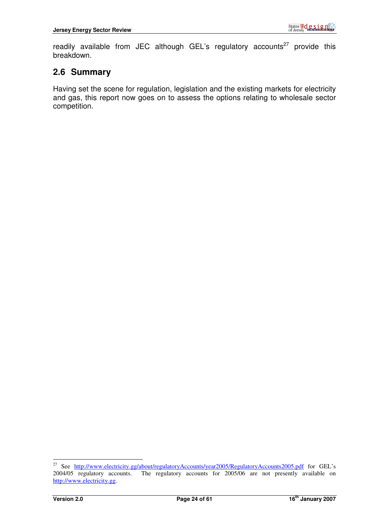readily available from JEC although GEL's regulatory accounts<sup>27</sup> provide this breakdown.

# **2.6 Summary**

Having set the scene for regulation, legislation and the existing markets for electricity and gas, this report now goes on to assess the options relating to wholesale sector competition.

 $27\,$ <sup>27</sup> See http://www.electricity.gg/about/regulatoryAccounts/year2005/RegulatoryAccounts2005.pdf for GEL's 2004/05 regulatory accounts. The regulatory accounts for 2005/06 are not presently available on The regulatory accounts for 2005/06 are not presently available on http://www.electricity.gg.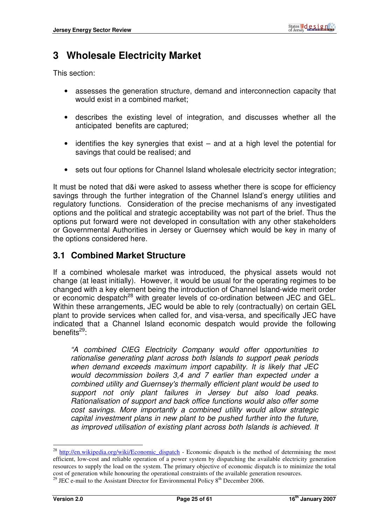# **3 Wholesale Electricity Market**

This section:

- assesses the generation structure, demand and interconnection capacity that would exist in a combined market;
- describes the existing level of integration, and discusses whether all the anticipated benefits are captured;
- identifies the key synergies that exist and at a high level the potential for savings that could be realised; and
- sets out four options for Channel Island wholesale electricity sector integration;

It must be noted that d&i were asked to assess whether there is scope for efficiency savings through the further integration of the Channel Island's energy utilities and regulatory functions. Consideration of the precise mechanisms of any investigated options and the political and strategic acceptability was not part of the brief. Thus the options put forward were not developed in consultation with any other stakeholders or Governmental Authorities in Jersey or Guernsey which would be key in many of the options considered here.

## **3.1 Combined Market Structure**

If a combined wholesale market was introduced, the physical assets would not change (at least initially). However, it would be usual for the operating regimes to be changed with a key element being the introduction of Channel Island-wide merit order or economic despatch<sup>28</sup> with greater levels of co-ordination between JEC and GEL. Within these arrangements, JEC would be able to rely (contractually) on certain GEL plant to provide services when called for, and visa-versa, and specifically JEC have indicated that a Channel Island economic despatch would provide the following benefits $^{29}$ :

"A combined CIEG Electricity Company would offer opportunities to rationalise generating plant across both Islands to support peak periods when demand exceeds maximum import capability. It is likely that JEC would decommission boilers 3,4 and 7 earlier than expected under a combined utility and Guernsey's thermally efficient plant would be used to support not only plant failures in Jersey but also load peaks. Rationalisation of support and back office functions would also offer some cost savings. More importantly a combined utility would allow strategic capital investment plans in new plant to be pushed further into the future, as improved utilisation of existing plant across both Islands is achieved. It

<sup>&</sup>lt;sup>28</sup> http://en.wikipedia.org/wiki/Economic\_dispatch - Economic dispatch is the method of determining the most efficient, low-cost and reliable operation of a power system by dispatching the available electricity generation resources to supply the load on the system. The primary objective of economic dispatch is to minimize the total cost of generation while honouring the operational constraints of the available generation resources.

<sup>&</sup>lt;sup>29</sup> JEC e-mail to the Assistant Director for Environmental Policy  $8<sup>th</sup>$  December 2006.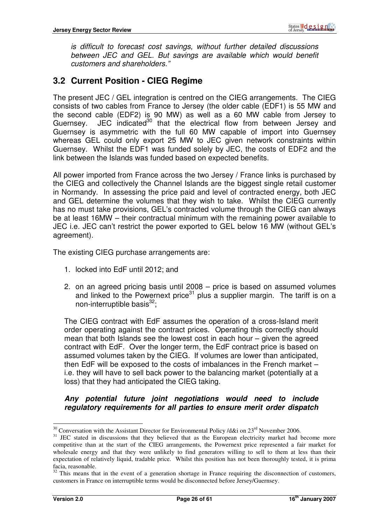is difficult to forecast cost savings, without further detailed discussions between JEC and GEL. But savings are available which would benefit customers and shareholders."

# **3.2 Current Position - CIEG Regime**

The present JEC / GEL integration is centred on the CIEG arrangements. The CIEG consists of two cables from France to Jersey (the older cable (EDF1) is 55 MW and the second cable (EDF2) is 90 MW) as well as a 60 MW cable from Jersey to Guernsey. JEC indicated<sup>30</sup> that the electrical flow from between Jersey and Guernsey is asymmetric with the full 60 MW capable of import into Guernsey whereas GEL could only export 25 MW to JEC given network constraints within Guernsey. Whilst the EDF1 was funded solely by JEC, the costs of EDF2 and the link between the Islands was funded based on expected benefits.

All power imported from France across the two Jersey / France links is purchased by the CIEG and collectively the Channel Islands are the biggest single retail customer in Normandy. In assessing the price paid and level of contracted energy, both JEC and GEL determine the volumes that they wish to take. Whilst the CIEG currently has no must take provisions, GEL's contracted volume through the CIEG can always be at least 16MW – their contractual minimum with the remaining power available to JEC i.e. JEC can't restrict the power exported to GEL below 16 MW (without GEL's agreement).

The existing CIEG purchase arrangements are:

- 1. locked into EdF until 2012; and
- 2. on an agreed pricing basis until 2008 price is based on assumed volumes and linked to the Powernext price<sup>31</sup> plus a supplier margin. The tariff is on a non-interruptible basis $^{32}$ ;

The CIEG contract with EdF assumes the operation of a cross-Island merit order operating against the contract prices. Operating this correctly should mean that both Islands see the lowest cost in each hour – given the agreed contract with EdF. Over the longer term, the EdF contract price is based on assumed volumes taken by the CIEG. If volumes are lower than anticipated, then EdF will be exposed to the costs of imbalances in the French market – i.e. they will have to sell back power to the balancing market (potentially at a loss) that they had anticipated the CIEG taking.

#### **Any potential future joint negotiations would need to include regulatory requirements for all parties to ensure merit order dispatch**

 $\overline{a}$ <sup>30</sup> Conversation with the Assistant Director for Environmental Policy /d&i on  $23<sup>rd</sup>$  November 2006.

<sup>&</sup>lt;sup>31</sup> JEC stated in discussions that they believed that as the European electricity market had become more competitive than at the start of the CIEG arrangements, the Powernext price represented a fair market for wholesale energy and that they were unlikely to find generators willing to sell to them at less than their expectation of relatively liquid, tradable price. Whilst this position has not been thoroughly tested, it is prima facia, reasonable.

 $32$  This means that in the event of a generation shortage in France requiring the disconnection of customers, customers in France on interruptible terms would be disconnected before Jersey/Guernsey.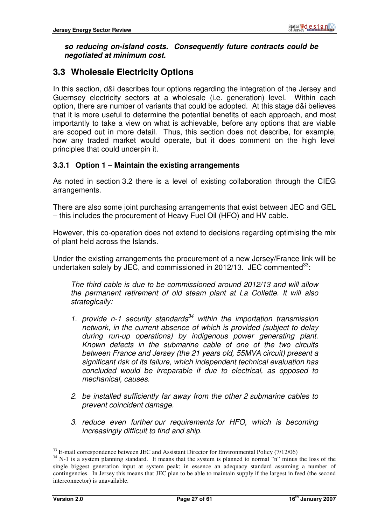#### **so reducing on-island costs. Consequently future contracts could be negotiated at minimum cost.**

# **3.3 Wholesale Electricity Options**

In this section, d&i describes four options regarding the integration of the Jersey and Guernsey electricity sectors at a wholesale (i.e. generation) level. Within each option, there are number of variants that could be adopted. At this stage d&i believes that it is more useful to determine the potential benefits of each approach, and most importantly to take a view on what is achievable, before any options that are viable are scoped out in more detail. Thus, this section does not describe, for example, how any traded market would operate, but it does comment on the high level principles that could underpin it.

#### **3.3.1 Option 1 – Maintain the existing arrangements**

As noted in section 3.2 there is a level of existing collaboration through the CIEG arrangements.

There are also some joint purchasing arrangements that exist between JEC and GEL – this includes the procurement of Heavy Fuel Oil (HFO) and HV cable.

However, this co-operation does not extend to decisions regarding optimising the mix of plant held across the Islands.

Under the existing arrangements the procurement of a new Jersey/France link will be undertaken solely by JEC, and commissioned in 2012/13. JEC commented  $33$ :

The third cable is due to be commissioned around 2012/13 and will allow the permanent retirement of old steam plant at La Collette. It will also strategically:

- 1. provide n-1 security standards<sup>34</sup> within the importation transmission network, in the current absence of which is provided (subject to delay during run-up operations) by indigenous power generating plant. Known defects in the submarine cable of one of the two circuits between France and Jersey (the 21 years old, 55MVA circuit) present a significant risk of its failure, which independent technical evaluation has concluded would be irreparable if due to electrical, as opposed to mechanical, causes.
- 2. be installed sufficiently far away from the other 2 submarine cables to prevent coincident damage.
- 3. reduce even further our requirements for HFO, which is becoming increasingly difficult to find and ship.

 $33$  E-mail correspondence between JEC and Assistant Director for Environmental Policy (7/12/06)

<sup>&</sup>lt;sup>34</sup> N-1 is a system planning standard. It means that the system is planned to normal "n" minus the loss of the single biggest generation input at system peak; in essence an adequacy standard assuming a number of contingencies. In Jersey this means that JEC plan to be able to maintain supply if the largest in feed (the second interconnector) is unavailable.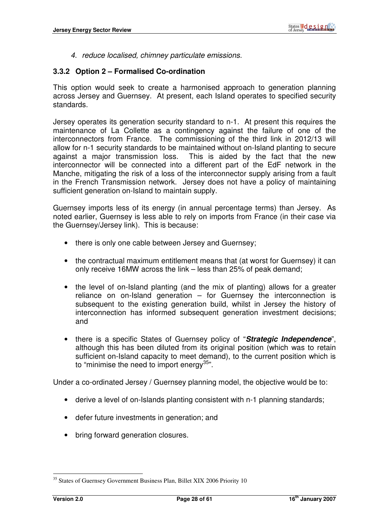4. reduce localised, chimney particulate emissions.

#### **3.3.2 Option 2 – Formalised Co-ordination**

This option would seek to create a harmonised approach to generation planning across Jersey and Guernsey. At present, each Island operates to specified security standards.

Jersey operates its generation security standard to n-1. At present this requires the maintenance of La Collette as a contingency against the failure of one of the interconnectors from France. The commissioning of the third link in 2012/13 will allow for n-1 security standards to be maintained without on-Island planting to secure against a major transmission loss. This is aided by the fact that the new interconnector will be connected into a different part of the EdF network in the Manche, mitigating the risk of a loss of the interconnector supply arising from a fault in the French Transmission network. Jersey does not have a policy of maintaining sufficient generation on-Island to maintain supply.

Guernsey imports less of its energy (in annual percentage terms) than Jersey. As noted earlier, Guernsey is less able to rely on imports from France (in their case via the Guernsey/Jersey link). This is because:

- there is only one cable between Jersey and Guernsey;
- the contractual maximum entitlement means that (at worst for Guernsey) it can only receive 16MW across the link – less than 25% of peak demand;
- the level of on-Island planting (and the mix of planting) allows for a greater reliance on on-Island generation – for Guernsey the interconnection is subsequent to the existing generation build, whilst in Jersey the history of interconnection has informed subsequent generation investment decisions: and
- there is a specific States of Guernsey policy of "**Strategic Independence**", although this has been diluted from its original position (which was to retain sufficient on-Island capacity to meet demand), to the current position which is to "minimise the need to import energy  $35"$ .

Under a co-ordinated Jersey / Guernsey planning model, the objective would be to:

- derive a level of on-Islands planting consistent with n-1 planning standards;
- defer future investments in generation; and
- bring forward generation closures.

<sup>&</sup>lt;sup>35</sup> States of Guernsey Government Business Plan, Billet XIX 2006 Priority 10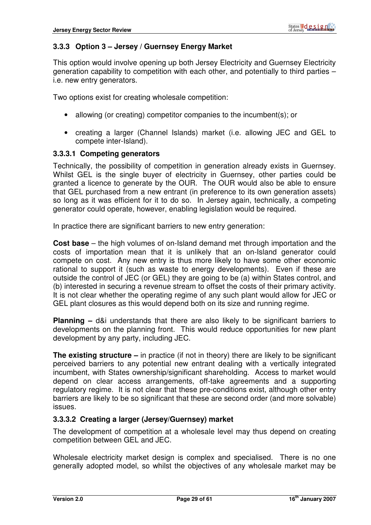#### **3.3.3 Option 3 – Jersey / Guernsey Energy Market**

This option would involve opening up both Jersey Electricity and Guernsey Electricity generation capability to competition with each other, and potentially to third parties – i.e. new entry generators.

Two options exist for creating wholesale competition:

- allowing (or creating) competitor companies to the incumbent(s); or
- creating a larger (Channel Islands) market (i.e. allowing JEC and GEL to compete inter-Island).

#### **3.3.3.1 Competing generators**

Technically, the possibility of competition in generation already exists in Guernsey. Whilst GEL is the single buyer of electricity in Guernsey, other parties could be granted a licence to generate by the OUR. The OUR would also be able to ensure that GEL purchased from a new entrant (in preference to its own generation assets) so long as it was efficient for it to do so. In Jersey again, technically, a competing generator could operate, however, enabling legislation would be required.

In practice there are significant barriers to new entry generation:

**Cost base** – the high volumes of on-Island demand met through importation and the costs of importation mean that it is unlikely that an on-Island generator could compete on cost. Any new entry is thus more likely to have some other economic rational to support it (such as waste to energy developments). Even if these are outside the control of JEC (or GEL) they are going to be (a) within States control, and (b) interested in securing a revenue stream to offset the costs of their primary activity. It is not clear whether the operating regime of any such plant would allow for JEC or GEL plant closures as this would depend both on its size and running regime.

**Planning –** d&i understands that there are also likely to be significant barriers to developments on the planning front. This would reduce opportunities for new plant development by any party, including JEC.

**The existing structure –** in practice (if not in theory) there are likely to be significant perceived barriers to any potential new entrant dealing with a vertically integrated incumbent, with States ownership/significant shareholding. Access to market would depend on clear access arrangements, off-take agreements and a supporting regulatory regime. It is not clear that these pre-conditions exist, although other entry barriers are likely to be so significant that these are second order (and more solvable) issues.

#### **3.3.3.2 Creating a larger (Jersey/Guernsey) market**

The development of competition at a wholesale level may thus depend on creating competition between GEL and JEC.

Wholesale electricity market design is complex and specialised. There is no one generally adopted model, so whilst the objectives of any wholesale market may be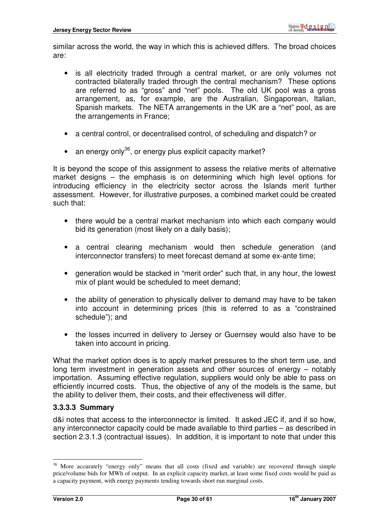similar across the world, the way in which this is achieved differs. The broad choices are:

- is all electricity traded through a central market, or are only volumes not contracted bilaterally traded through the central mechanism? These options are referred to as "gross" and "net" pools. The old UK pool was a gross arrangement, as, for example, are the Australian, Singaporean, Italian, Spanish markets. The NETA arrangements in the UK are a "net" pool, as are the arrangements in France;
- a central control, or decentralised control, of scheduling and dispatch? or
- an energy only<sup>36</sup>, or energy plus explicit capacity market?

It is beyond the scope of this assignment to assess the relative merits of alternative market designs – the emphasis is on determining which high level options for introducing efficiency in the electricity sector across the Islands merit further assessment. However, for illustrative purposes, a combined market could be created such that:

- there would be a central market mechanism into which each company would bid its generation (most likely on a daily basis);
- a central clearing mechanism would then schedule generation (and interconnector transfers) to meet forecast demand at some ex-ante time;
- generation would be stacked in "merit order" such that, in any hour, the lowest mix of plant would be scheduled to meet demand;
- the ability of generation to physically deliver to demand may have to be taken into account in determining prices (this is referred to as a "constrained schedule"); and
- the losses incurred in delivery to Jersey or Guernsey would also have to be taken into account in pricing.

What the market option does is to apply market pressures to the short term use, and long term investment in generation assets and other sources of energy – notably importation. Assuming effective regulation, suppliers would only be able to pass on efficiently incurred costs. Thus, the objective of any of the models is the same, but the ability to deliver them, their costs, and their effectiveness will differ.

#### **3.3.3.3 Summary**

d&i notes that access to the interconnector is limited. It asked JEC if, and if so how, any interconnector capacity could be made available to third parties – as described in section 2.3.1.3 (contractual issues). In addition, it is important to note that under this

<sup>&</sup>lt;sup>36</sup> More accurately "energy only" means that all costs (fixed and variable) are recovered through simple price/volume bids for MWh of output. In an explicit capacity market, at least some fixed costs would be paid as a capacity payment, with energy payments tending towards short run marginal costs.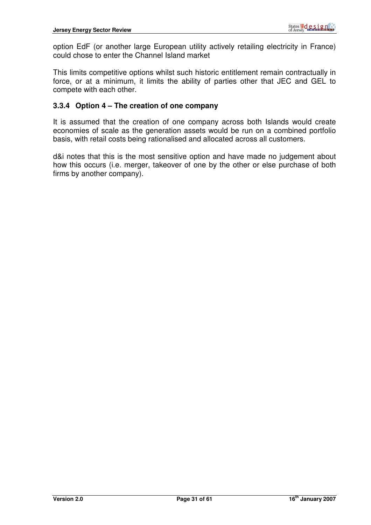option EdF (or another large European utility actively retailing electricity in France) could chose to enter the Channel Island market

This limits competitive options whilst such historic entitlement remain contractually in force, or at a minimum, it limits the ability of parties other that JEC and GEL to compete with each other.

#### **3.3.4 Option 4 – The creation of one company**

It is assumed that the creation of one company across both Islands would create economies of scale as the generation assets would be run on a combined portfolio basis, with retail costs being rationalised and allocated across all customers.

d&i notes that this is the most sensitive option and have made no judgement about how this occurs (i.e. merger, takeover of one by the other or else purchase of both firms by another company).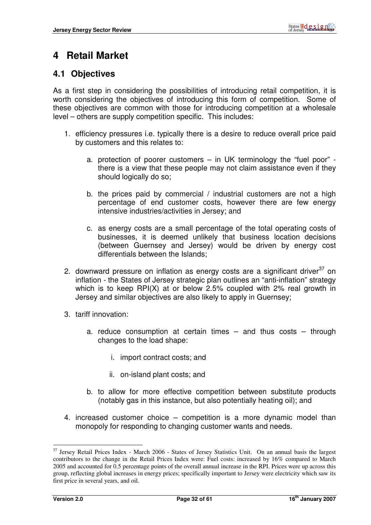# **4 Retail Market**

## **4.1 Objectives**

As a first step in considering the possibilities of introducing retail competition, it is worth considering the objectives of introducing this form of competition. Some of these objectives are common with those for introducing competition at a wholesale level – others are supply competition specific. This includes:

- 1. efficiency pressures i.e. typically there is a desire to reduce overall price paid by customers and this relates to:
	- a. protection of poorer customers in UK terminology the "fuel poor" there is a view that these people may not claim assistance even if they should logically do so;
	- b. the prices paid by commercial / industrial customers are not a high percentage of end customer costs, however there are few energy intensive industries/activities in Jersey; and
	- c. as energy costs are a small percentage of the total operating costs of businesses, it is deemed unlikely that business location decisions (between Guernsey and Jersey) would be driven by energy cost differentials between the Islands;
- 2. downward pressure on inflation as energy costs are a significant driver $37$  on inflation - the States of Jersey strategic plan outlines an "anti-inflation" strategy which is to keep RPI(X) at or below 2.5% coupled with 2% real growth in Jersey and similar objectives are also likely to apply in Guernsey;
- 3. tariff innovation:
	- a. reduce consumption at certain times and thus costs through changes to the load shape:
		- i. import contract costs; and
		- ii. on-island plant costs; and
	- b. to allow for more effective competition between substitute products (notably gas in this instance, but also potentially heating oil); and
- 4. increased customer choice competition is a more dynamic model than monopoly for responding to changing customer wants and needs.

<sup>&</sup>lt;sup>37</sup> Jersey Retail Prices Index - March 2006 - States of Jersey Statistics Unit. On an annual basis the largest contributors to the change in the Retail Prices Index were: Fuel costs: increased by 16% compared to March 2005 and accounted for 0.5 percentage points of the overall annual increase in the RPI. Prices were up across this group, reflecting global increases in energy prices; specifically important to Jersey were electricity which saw its first price in several years, and oil.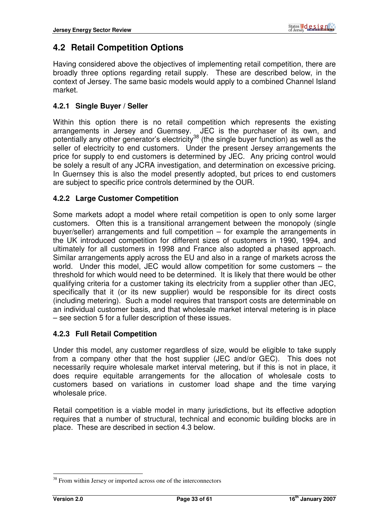# **4.2 Retail Competition Options**

Having considered above the objectives of implementing retail competition, there are broadly three options regarding retail supply. These are described below, in the context of Jersey. The same basic models would apply to a combined Channel Island market.

#### **4.2.1 Single Buyer / Seller**

Within this option there is no retail competition which represents the existing arrangements in Jersey and Guernsey. JEC is the purchaser of its own, and potentially any other generator's electricity<sup>38</sup> (the single buyer function) as well as the seller of electricity to end customers. Under the present Jersey arrangements the price for supply to end customers is determined by JEC. Any pricing control would be solely a result of any JCRA investigation, and determination on excessive pricing. In Guernsey this is also the model presently adopted, but prices to end customers are subject to specific price controls determined by the OUR.

#### **4.2.2 Large Customer Competition**

Some markets adopt a model where retail competition is open to only some larger customers. Often this is a transitional arrangement between the monopoly (single buyer/seller) arrangements and full competition – for example the arrangements in the UK introduced competition for different sizes of customers in 1990, 1994, and ultimately for all customers in 1998 and France also adopted a phased approach. Similar arrangements apply across the EU and also in a range of markets across the world. Under this model, JEC would allow competition for some customers – the threshold for which would need to be determined. It is likely that there would be other qualifying criteria for a customer taking its electricity from a supplier other than JEC, specifically that it (or its new supplier) would be responsible for its direct costs (including metering). Such a model requires that transport costs are determinable on an individual customer basis, and that wholesale market interval metering is in place – see section 5 for a fuller description of these issues.

#### **4.2.3 Full Retail Competition**

Under this model, any customer regardless of size, would be eligible to take supply from a company other that the host supplier (JEC and/or GEC). This does not necessarily require wholesale market interval metering, but if this is not in place, it does require equitable arrangements for the allocation of wholesale costs to customers based on variations in customer load shape and the time varying wholesale price.

Retail competition is a viable model in many jurisdictions, but its effective adoption requires that a number of structural, technical and economic building blocks are in place. These are described in section 4.3 below.

 $38$  From within Jersey or imported across one of the interconnectors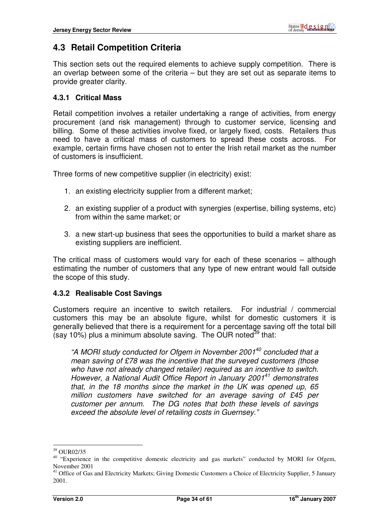# **4.3 Retail Competition Criteria**

This section sets out the required elements to achieve supply competition. There is an overlap between some of the criteria – but they are set out as separate items to provide greater clarity.

#### **4.3.1 Critical Mass**

Retail competition involves a retailer undertaking a range of activities, from energy procurement (and risk management) through to customer service, licensing and billing. Some of these activities involve fixed, or largely fixed, costs. Retailers thus need to have a critical mass of customers to spread these costs across. For example, certain firms have chosen not to enter the Irish retail market as the number of customers is insufficient.

Three forms of new competitive supplier (in electricity) exist:

- 1. an existing electricity supplier from a different market;
- 2. an existing supplier of a product with synergies (expertise, billing systems, etc) from within the same market; or
- 3. a new start-up business that sees the opportunities to build a market share as existing suppliers are inefficient.

The critical mass of customers would vary for each of these scenarios – although estimating the number of customers that any type of new entrant would fall outside the scope of this study.

#### **4.3.2 Realisable Cost Savings**

Customers require an incentive to switch retailers. For industrial / commercial customers this may be an absolute figure, whilst for domestic customers it is generally believed that there is a requirement for a percentage saving off the total bill (say 10%) plus a minimum absolute saving. The OUR noted<sup>39</sup> that:

"A MORI study conducted for Ofgem in November 2001 $40$  concluded that a mean saving of £78 was the incentive that the surveyed customers (those who have not already changed retailer) required as an incentive to switch. However, a National Audit Office Report in January 2001<sup>41</sup> demonstrates that, in the 18 months since the market in the UK was opened up, 65 million customers have switched for an average saving of £45 per customer per annum. The DG notes that both these levels of savings exceed the absolute level of retailing costs in Guernsey."

<sup>39</sup> OUR02/35

<sup>&</sup>lt;sup>40</sup> "Experience in the competitive domestic electricity and gas markets" conducted by MORI for Ofgem, November 2001

<sup>&</sup>lt;sup>41</sup> Office of Gas and Electricity Markets; Giving Domestic Customers a Choice of Electricity Supplier, 5 January 2001.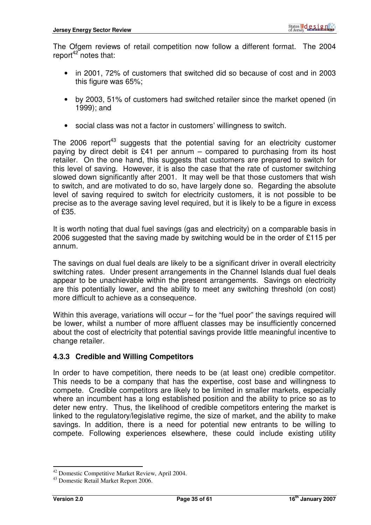The Ofgem reviews of retail competition now follow a different format. The 2004 report<sup>42</sup> notes that:

- in 2001, 72% of customers that switched did so because of cost and in 2003 this figure was 65%;
- by 2003, 51% of customers had switched retailer since the market opened (in 1999); and
- social class was not a factor in customers' willingness to switch.

The 2006 report<sup>43</sup> suggests that the potential saving for an electricity customer paying by direct debit is £41 per annum – compared to purchasing from its host retailer. On the one hand, this suggests that customers are prepared to switch for this level of saving. However, it is also the case that the rate of customer switching slowed down significantly after 2001. It may well be that those customers that wish to switch, and are motivated to do so, have largely done so. Regarding the absolute level of saving required to switch for electricity customers, it is not possible to be precise as to the average saving level required, but it is likely to be a figure in excess of £35.

It is worth noting that dual fuel savings (gas and electricity) on a comparable basis in 2006 suggested that the saving made by switching would be in the order of £115 per annum.

The savings on dual fuel deals are likely to be a significant driver in overall electricity switching rates. Under present arrangements in the Channel Islands dual fuel deals appear to be unachievable within the present arrangements. Savings on electricity are this potentially lower, and the ability to meet any switching threshold (on cost) more difficult to achieve as a consequence.

Within this average, variations will occur – for the "fuel poor" the savings required will be lower, whilst a number of more affluent classes may be insufficiently concerned about the cost of electricity that potential savings provide little meaningful incentive to change retailer.

#### **4.3.3 Credible and Willing Competitors**

In order to have competition, there needs to be (at least one) credible competitor. This needs to be a company that has the expertise, cost base and willingness to compete. Credible competitors are likely to be limited in smaller markets, especially where an incumbent has a long established position and the ability to price so as to deter new entry. Thus, the likelihood of credible competitors entering the market is linked to the regulatory/legislative regime, the size of market, and the ability to make savings. In addition, there is a need for potential new entrants to be willing to compete. Following experiences elsewhere, these could include existing utility

 $\overline{a}$ <sup>42</sup> Domestic Competitive Market Review, April 2004.

<sup>43</sup> Domestic Retail Market Report 2006.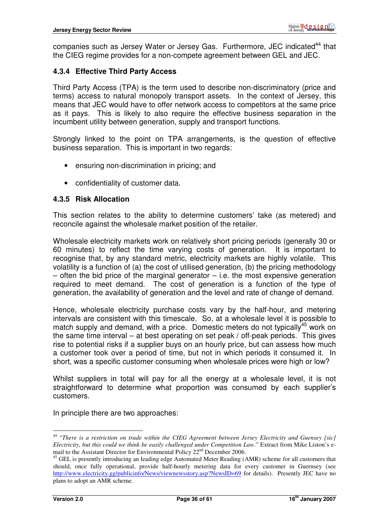companies such as Jersey Water or Jersey Gas. Furthermore, JEC indicated<sup>44</sup> that the CIEG regime provides for a non-compete agreement between GEL and JEC.

#### **4.3.4 Effective Third Party Access**

Third Party Access (TPA) is the term used to describe non-discriminatory (price and terms) access to natural monopoly transport assets. In the context of Jersey, this means that JEC would have to offer network access to competitors at the same price as it pays. This is likely to also require the effective business separation in the incumbent utility between generation, supply and transport functions.

Strongly linked to the point on TPA arrangements, is the question of effective business separation. This is important in two regards:

- ensuring non-discrimination in pricing; and
- confidentiality of customer data.

#### **4.3.5 Risk Allocation**

This section relates to the ability to determine customers' take (as metered) and reconcile against the wholesale market position of the retailer.

Wholesale electricity markets work on relatively short pricing periods (generally 30 or 60 minutes) to reflect the time varying costs of generation. It is important to recognise that, by any standard metric, electricity markets are highly volatile. This volatility is a function of (a) the cost of utilised generation, (b) the pricing methodology  $-$  often the bid price of the marginal generator  $-$  i.e. the most expensive generation required to meet demand. The cost of generation is a function of the type of generation, the availability of generation and the level and rate of change of demand.

Hence, wholesale electricity purchase costs vary by the half-hour, and metering intervals are consistent with this timescale. So, at a wholesale level it is possible to match supply and demand, with a price. Domestic meters do not typically<sup>45</sup> work on the same time interval – at best operating on set peak / off-peak periods. This gives rise to potential risks if a supplier buys on an hourly price, but can assess how much a customer took over a period of time, but not in which periods it consumed it. In short, was a specific customer consuming when wholesale prices were high or low?

Whilst suppliers in total will pay for all the energy at a wholesale level, it is not straightforward to determine what proportion was consumed by each supplier's customers.

In principle there are two approaches:

<sup>44</sup> "*There is a restriction on trade within the CIEG Agreement between Jersey Electricity and Guensey [sic] Electricity, but this could we think be easily challenged under Competition Law.*" Extract from Mike Liston's email to the Assistant Director for Environmental Policy 22<sup>nd</sup> December 2006.

<sup>&</sup>lt;sup>45</sup> GEL is presently introducing an leading edge Automated Meter Reading (AMR) scheme for all customers that should, once fully operational, provide half-hourly metering data for every customer in Guernsey (see http://www.electricity.gg/publicinfo/News/viewnewsstory.asp?NewsID=69 for details). Presently JEC have no plans to adopt an AMR scheme.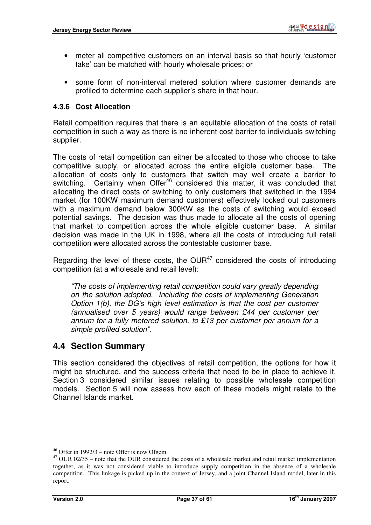- meter all competitive customers on an interval basis so that hourly 'customer take' can be matched with hourly wholesale prices; or
- some form of non-interval metered solution where customer demands are profiled to determine each supplier's share in that hour.

#### **4.3.6 Cost Allocation**

Retail competition requires that there is an equitable allocation of the costs of retail competition in such a way as there is no inherent cost barrier to individuals switching supplier.

The costs of retail competition can either be allocated to those who choose to take competitive supply, or allocated across the entire eligible customer base. The allocation of costs only to customers that switch may well create a barrier to switching. Certainly when Offer<sup>46</sup> considered this matter, it was concluded that allocating the direct costs of switching to only customers that switched in the 1994 market (for 100KW maximum demand customers) effectively locked out customers with a maximum demand below 300KW as the costs of switching would exceed potential savings. The decision was thus made to allocate all the costs of opening that market to competition across the whole eligible customer base. A similar decision was made in the UK in 1998, where all the costs of introducing full retail competition were allocated across the contestable customer base.

Regarding the level of these costs, the  $OUR^{47}$  considered the costs of introducing competition (at a wholesale and retail level):

"The costs of implementing retail competition could vary greatly depending on the solution adopted. Including the costs of implementing Generation Option 1(b), the DG's high level estimation is that the cost per customer (annualised over 5 years) would range between £44 per customer per annum for a fully metered solution, to £13 per customer per annum for a simple profiled solution".

#### **4.4 Section Summary**

This section considered the objectives of retail competition, the options for how it might be structured, and the success criteria that need to be in place to achieve it. Section 3 considered similar issues relating to possible wholesale competition models. Section 5 will now assess how each of these models might relate to the Channel Islands market.

 $\overline{a}$  $46$  Offer in 1992/3 – note Offer is now Ofgem.

 $47$  OUR 02/35 – note that the OUR considered the costs of a wholesale market and retail market implementation together, as it was not considered viable to introduce supply competition in the absence of a wholesale competition. This linkage is picked up in the context of Jersey, and a joint Channel Island model, later in this report.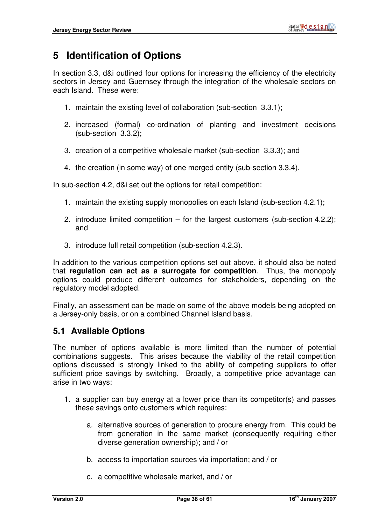# **5 Identification of Options**

In section 3.3, d&i outlined four options for increasing the efficiency of the electricity sectors in Jersey and Guernsey through the integration of the wholesale sectors on each Island. These were:

- 1. maintain the existing level of collaboration (sub-section 3.3.1);
- 2. increased (formal) co-ordination of planting and investment decisions (sub-section 3.3.2);
- 3. creation of a competitive wholesale market (sub-section 3.3.3); and
- 4. the creation (in some way) of one merged entity (sub-section 3.3.4).

In sub-section 4.2, d&i set out the options for retail competition:

- 1. maintain the existing supply monopolies on each Island (sub-section 4.2.1);
- 2. introduce limited competition for the largest customers (sub-section 4.2.2); and
- 3. introduce full retail competition (sub-section 4.2.3).

In addition to the various competition options set out above, it should also be noted that **regulation can act as a surrogate for competition**. Thus, the monopoly options could produce different outcomes for stakeholders, depending on the regulatory model adopted.

Finally, an assessment can be made on some of the above models being adopted on a Jersey-only basis, or on a combined Channel Island basis.

## **5.1 Available Options**

The number of options available is more limited than the number of potential combinations suggests. This arises because the viability of the retail competition options discussed is strongly linked to the ability of competing suppliers to offer sufficient price savings by switching. Broadly, a competitive price advantage can arise in two ways:

- 1. a supplier can buy energy at a lower price than its competitor(s) and passes these savings onto customers which requires:
	- a. alternative sources of generation to procure energy from. This could be from generation in the same market (consequently requiring either diverse generation ownership); and / or
	- b. access to importation sources via importation; and / or
	- c. a competitive wholesale market, and / or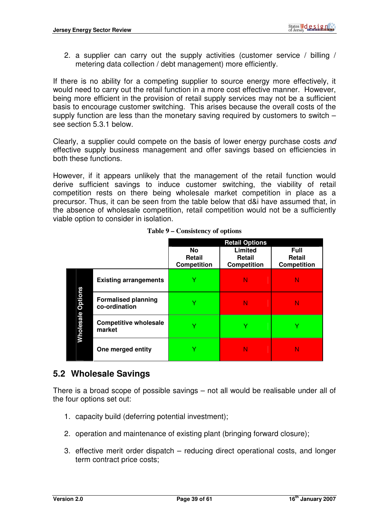2. a supplier can carry out the supply activities (customer service / billing / metering data collection / debt management) more efficiently.

If there is no ability for a competing supplier to source energy more effectively, it would need to carry out the retail function in a more cost effective manner. However, being more efficient in the provision of retail supply services may not be a sufficient basis to encourage customer switching. This arises because the overall costs of the supply function are less than the monetary saving required by customers to switch – see section 5.3.1 below.

Clearly, a supplier could compete on the basis of lower energy purchase costs and effective supply business management and offer savings based on efficiencies in both these functions.

However, if it appears unlikely that the management of the retail function would derive sufficient savings to induce customer switching, the viability of retail competition rests on there being wholesale market competition in place as a precursor. Thus, it can be seen from the table below that d&i have assumed that, in the absence of wholesale competition, retail competition would not be a sufficiently viable option to consider in isolation.

|  |                          |                                             |                                    | <b>Retail Options</b>                   |                                             |
|--|--------------------------|---------------------------------------------|------------------------------------|-----------------------------------------|---------------------------------------------|
|  |                          |                                             | No<br>Retail<br><b>Competition</b> | Limited<br>Retail<br><b>Competition</b> | Full<br><b>Retail</b><br><b>Competition</b> |
|  |                          | <b>Existing arrangements</b>                | v                                  | Ν                                       | N                                           |
|  |                          | <b>Formalised planning</b><br>co-ordination | v                                  | Ν                                       | N                                           |
|  | <b>Wholesale Options</b> | <b>Competitive wholesale</b><br>market      | v                                  | ٧                                       | v                                           |
|  |                          | One merged entity                           |                                    | N                                       | N                                           |

**Table 9 – Consistency of options** 

## **5.2 Wholesale Savings**

There is a broad scope of possible savings – not all would be realisable under all of the four options set out:

- 1. capacity build (deferring potential investment);
- 2. operation and maintenance of existing plant (bringing forward closure);
- 3. effective merit order dispatch reducing direct operational costs, and longer term contract price costs;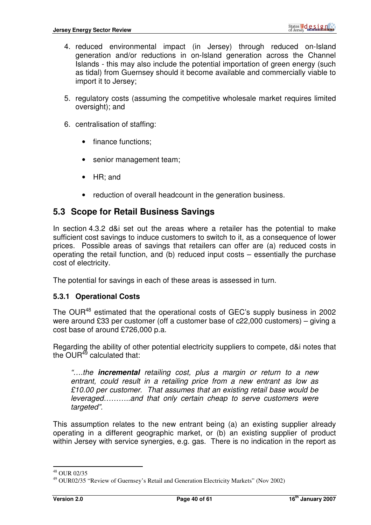- 4. reduced environmental impact (in Jersey) through reduced on-Island generation and/or reductions in on-Island generation across the Channel Islands - this may also include the potential importation of green energy (such as tidal) from Guernsey should it become available and commercially viable to import it to Jersey;
- 5. regulatory costs (assuming the competitive wholesale market requires limited oversight); and
- 6. centralisation of staffing:
	- finance functions;
	- senior management team;
	- HR; and
	- reduction of overall headcount in the generation business.

## **5.3 Scope for Retail Business Savings**

In section 4.3.2 d&i set out the areas where a retailer has the potential to make sufficient cost savings to induce customers to switch to it, as a consequence of lower prices. Possible areas of savings that retailers can offer are (a) reduced costs in operating the retail function, and (b) reduced input costs – essentially the purchase cost of electricity.

The potential for savings in each of these areas is assessed in turn.

#### **5.3.1 Operational Costs**

The OUR<sup>48</sup> estimated that the operational costs of GEC's supply business in 2002 were around £33 per customer (off a customer base of c22,000 customers) – giving a cost base of around £726,000 p.a.

Regarding the ability of other potential electricity suppliers to compete, d&i notes that the OUR<sup>49</sup> calculated that:

"….the **incremental** retailing cost, plus a margin or return to a new entrant, could result in a retailing price from a new entrant as low as £10.00 per customer. That assumes that an existing retail base would be leveraged………..and that only certain cheap to serve customers were targeted".

This assumption relates to the new entrant being (a) an existing supplier already operating in a different geographic market, or (b) an existing supplier of product within Jersey with service synergies, e.g. gas. There is no indication in the report as

 $\overline{a}$ <sup>48</sup> OUR 02/35

<sup>&</sup>lt;sup>49</sup> OUR02/35 "Review of Guernsey's Retail and Generation Electricity Markets" (Nov 2002)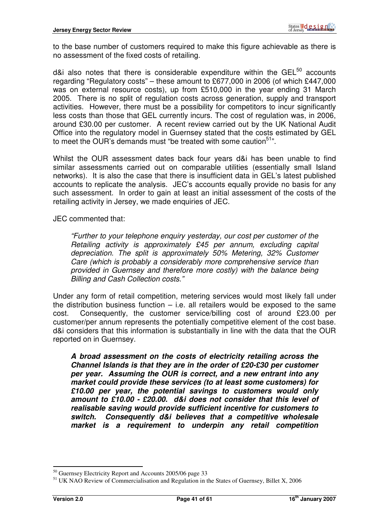to the base number of customers required to make this figure achievable as there is no assessment of the fixed costs of retailing.

d&i also notes that there is considerable expenditure within the  $GEL^{50}$  accounts regarding "Regulatory costs" – these amount to £677,000 in 2006 (of which £447,000 was on external resource costs), up from £510,000 in the year ending 31 March 2005. There is no split of regulation costs across generation, supply and transport activities. However, there must be a possibility for competitors to incur significantly less costs than those that GEL currently incurs. The cost of regulation was, in 2006, around £30.00 per customer. A recent review carried out by the UK National Audit Office into the regulatory model in Guernsey stated that the costs estimated by GEL to meet the OUR's demands must "be treated with some caution<sup>51</sup>".

Whilst the OUR assessment dates back four years d&i has been unable to find similar assessments carried out on comparable utilities (essentially small Island networks). It is also the case that there is insufficient data in GEL's latest published accounts to replicate the analysis. JEC's accounts equally provide no basis for any such assessment. In order to gain at least an initial assessment of the costs of the retailing activity in Jersey, we made enquiries of JEC.

JEC commented that:

"Further to your telephone enquiry yesterday, our cost per customer of the Retailing activity is approximately £45 per annum, excluding capital depreciation. The split is approximately 50% Metering, 32% Customer Care (which is probably a considerably more comprehensive service than provided in Guernsey and therefore more costly) with the balance being Billing and Cash Collection costs."

Under any form of retail competition, metering services would most likely fall under the distribution business function  $-$  i.e. all retailers would be exposed to the same cost. Consequently, the customer service/billing cost of around £23.00 per customer/per annum represents the potentially competitive element of the cost base. d&i considers that this information is substantially in line with the data that the OUR reported on in Guernsey.

**A broad assessment on the costs of electricity retailing across the Channel Islands is that they are in the order of £20-£30 per customer per year. Assuming the OUR is correct, and a new entrant into any market could provide these services (to at least some customers) for £10.00 per year, the potential savings to customers would only amount to £10.00 - £20.00. d&i does not consider that this level of realisable saving would provide sufficient incentive for customers to switch. Consequently d&i believes that a competitive wholesale market is a requirement to underpin any retail competition** 

<sup>&</sup>lt;sup>50</sup> Guernsey Electricity Report and Accounts 2005/06 page 33

<sup>&</sup>lt;sup>51</sup> UK NAO Review of Commercialisation and Regulation in the States of Guernsey, Billet X, 2006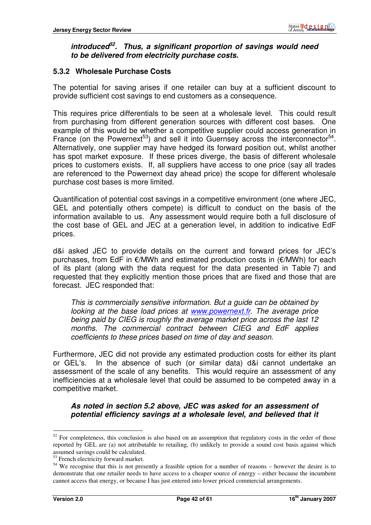#### **introduced<sup>52</sup>. Thus, a significant proportion of savings would need to be delivered from electricity purchase costs.**

#### **5.3.2 Wholesale Purchase Costs**

The potential for saving arises if one retailer can buy at a sufficient discount to provide sufficient cost savings to end customers as a consequence.

This requires price differentials to be seen at a wholesale level. This could result from purchasing from different generation sources with different cost bases. One example of this would be whether a competitive supplier could access generation in France (on the Powernext<sup>53</sup>) and sell it into Guernsey across the interconnector<sup>54</sup>. Alternatively, one supplier may have hedged its forward position out, whilst another has spot market exposure. If these prices diverge, the basis of different wholesale prices to customers exists. If, all suppliers have access to one price (say all trades are referenced to the Powernext day ahead price) the scope for different wholesale purchase cost bases is more limited.

Quantification of potential cost savings in a competitive environment (one where JEC, GEL and potentially others compete) is difficult to conduct on the basis of the information available to us. Any assessment would require both a full disclosure of the cost base of GEL and JEC at a generation level, in addition to indicative EdF prices.

d&i asked JEC to provide details on the current and forward prices for JEC's purchases, from EdF in €/MWh and estimated production costs in (€/MWh) for each of its plant (along with the data request for the data presented in Table 7) and requested that they explicitly mention those prices that are fixed and those that are forecast. JEC responded that:

This is commercially sensitive information. But a guide can be obtained by looking at the base load prices at www.powernext.fr. The average price being paid by CIEG is roughly the average market price across the last 12 months. The commercial contract between CIEG and EdF applies coefficients to these prices based on time of day and season.

Furthermore, JEC did not provide any estimated production costs for either its plant or GEL's. In the absence of such (or similar data) d&i cannot undertake an assessment of the scale of any benefits. This would require an assessment of any inefficiencies at a wholesale level that could be assumed to be competed away in a competitive market.

#### **As noted in section 5.2 above, JEC was asked for an assessment of potential efficiency savings at a wholesale level, and believed that it**

 $52$  For completeness, this conclusion is also based on an assumption that regulatory costs in the order of those reported by GEL are (a) not attributable to retailing, (b) unlikely to provide a sound cost basis against which assumed savings could be calculated.

<sup>&</sup>lt;sup>53</sup> French electricity forward market.

<sup>&</sup>lt;sup>54</sup> We recognise that this is not presently a feasible option for a number of reasons – however the desire is to demonstrate that one retailer needs to have access to a cheaper source of energy – either because the incumbent cannot access that energy, or because I has just entered into lower priced commercial arrangements.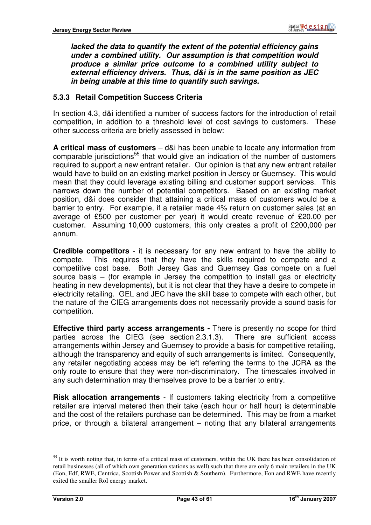**lacked the data to quantify the extent of the potential efficiency gains under a combined utility. Our assumption is that competition would produce a similar price outcome to a combined utility subject to external efficiency drivers. Thus, d&i is in the same position as JEC in being unable at this time to quantify such savings.** 

#### **5.3.3 Retail Competition Success Criteria**

In section 4.3, d&i identified a number of success factors for the introduction of retail competition, in addition to a threshold level of cost savings to customers. These other success criteria are briefly assessed in below:

**A critical mass of customers** – d&i has been unable to locate any information from comparable jurisdictions<sup>55</sup> that would give an indication of the number of customers required to support a new entrant retailer. Our opinion is that any new entrant retailer would have to build on an existing market position in Jersey or Guernsey. This would mean that they could leverage existing billing and customer support services. This narrows down the number of potential competitors. Based on an existing market position, d&i does consider that attaining a critical mass of customers would be a barrier to entry. For example, if a retailer made 4% return on customer sales (at an average of £500 per customer per year) it would create revenue of £20.00 per customer. Assuming 10,000 customers, this only creates a profit of £200,000 per annum.

**Credible competitors** - it is necessary for any new entrant to have the ability to compete. This requires that they have the skills required to compete and a competitive cost base. Both Jersey Gas and Guernsey Gas compete on a fuel source basis – (for example in Jersey the competition to install gas or electricity heating in new developments), but it is not clear that they have a desire to compete in electricity retailing. GEL and JEC have the skill base to compete with each other, but the nature of the CIEG arrangements does not necessarily provide a sound basis for competition.

**Effective third party access arrangements -** There is presently no scope for third parties across the CIEG (see section 2.3.1.3). There are sufficient access arrangements within Jersey and Guernsey to provide a basis for competitive retailing, although the transparency and equity of such arrangements is limited. Consequently, any retailer negotiating access may be left referring the terms to the JCRA as the only route to ensure that they were non-discriminatory. The timescales involved in any such determination may themselves prove to be a barrier to entry.

**Risk allocation arrangements** - If customers taking electricity from a competitive retailer are interval metered then their take (each hour or half hour) is determinable and the cost of the retailers purchase can be determined. This may be from a market price, or through a bilateral arrangement – noting that any bilateral arrangements

<sup>&</sup>lt;sup>55</sup> It is worth noting that, in terms of a critical mass of customers, within the UK there has been consolidation of retail businesses (all of which own generation stations as well) such that there are only 6 main retailers in the UK (Eon, Edf, RWE, Centrica, Scottish Power and Scottish & Southern). Furthermore, Eon and RWE have recently exited the smaller RoI energy market.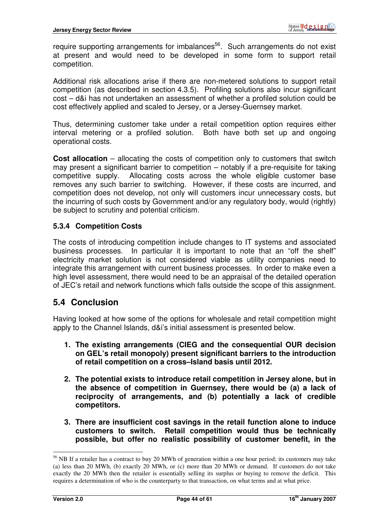require supporting arrangements for imbalances<sup>56</sup>. Such arrangements do not exist at present and would need to be developed in some form to support retail competition.

Additional risk allocations arise if there are non-metered solutions to support retail competition (as described in section 4.3.5). Profiling solutions also incur significant cost – d&i has not undertaken an assessment of whether a profiled solution could be cost effectively applied and scaled to Jersey, or a Jersey-Guernsey market.

Thus, determining customer take under a retail competition option requires either interval metering or a profiled solution. Both have both set up and ongoing operational costs.

**Cost allocation** – allocating the costs of competition only to customers that switch may present a significant barrier to competition – notably if a pre-requisite for taking competitive supply. Allocating costs across the whole eligible customer base removes any such barrier to switching. However, if these costs are incurred, and competition does not develop, not only will customers incur unnecessary costs, but the incurring of such costs by Government and/or any regulatory body, would (rightly) be subject to scrutiny and potential criticism.

#### **5.3.4 Competition Costs**

The costs of introducing competition include changes to IT systems and associated business processes. In particular it is important to note that an "off the shelf" electricity market solution is not considered viable as utility companies need to integrate this arrangement with current business processes. In order to make even a high level assessment, there would need to be an appraisal of the detailed operation of JEC's retail and network functions which falls outside the scope of this assignment.

#### **5.4 Conclusion**

Having looked at how some of the options for wholesale and retail competition might apply to the Channel Islands, d&i's initial assessment is presented below.

- **1. The existing arrangements (CIEG and the consequential OUR decision on GEL's retail monopoly) present significant barriers to the introduction of retail competition on a cross–Island basis until 2012.**
- **2. The potential exists to introduce retail competition in Jersey alone, but in the absence of competition in Guernsey, there would be (a) a lack of reciprocity of arrangements, and (b) potentially a lack of credible competitors.**
- **3. There are insufficient cost savings in the retail function alone to induce customers to switch. Retail competition would thus be technically possible, but offer no realistic possibility of customer benefit, in the**

<sup>&</sup>lt;sup>56</sup> NB If a retailer has a contract to buy 20 MWh of generation within a one hour period; its customers may take (a) less than 20 MWh, (b) exactly 20 MWh, or (c) more than 20 MWh or demand. If customers do not take exactly the 20 MWh then the retailer is essentially selling its surplus or buying to remove the deficit. This requires a determination of who is the counterparty to that transaction, on what terms and at what price.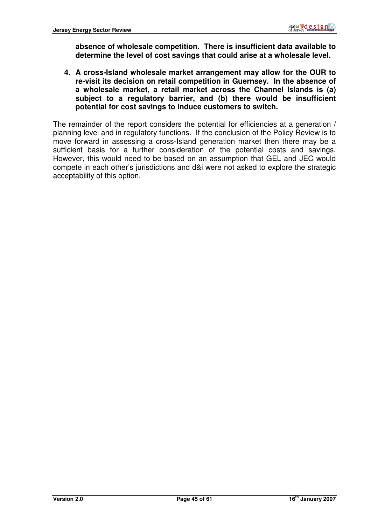**absence of wholesale competition. There is insufficient data available to determine the level of cost savings that could arise at a wholesale level.** 

**4. A cross-Island wholesale market arrangement may allow for the OUR to re-visit its decision on retail competition in Guernsey. In the absence of a wholesale market, a retail market across the Channel Islands is (a) subject to a regulatory barrier, and (b) there would be insufficient potential for cost savings to induce customers to switch.** 

The remainder of the report considers the potential for efficiencies at a generation / planning level and in regulatory functions. If the conclusion of the Policy Review is to move forward in assessing a cross-Island generation market then there may be a sufficient basis for a further consideration of the potential costs and savings. However, this would need to be based on an assumption that GEL and JEC would compete in each other's jurisdictions and d&i were not asked to explore the strategic acceptability of this option.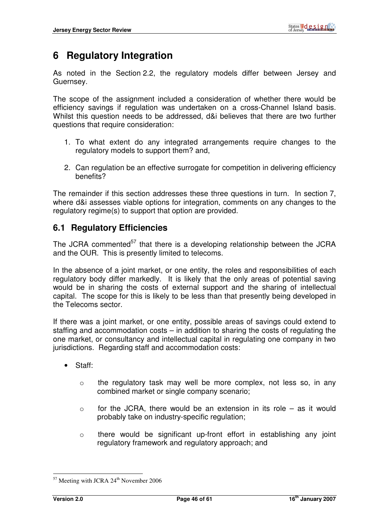# **6 Regulatory Integration**

As noted in the Section 2.2, the regulatory models differ between Jersey and Guernsey.

The scope of the assignment included a consideration of whether there would be efficiency savings if regulation was undertaken on a cross-Channel Island basis. Whilst this question needs to be addressed, d&i believes that there are two further questions that require consideration:

- 1. To what extent do any integrated arrangements require changes to the regulatory models to support them? and,
- 2. Can regulation be an effective surrogate for competition in delivering efficiency benefits?

The remainder if this section addresses these three questions in turn. In section 7, where d&i assesses viable options for integration, comments on any changes to the regulatory regime(s) to support that option are provided.

# **6.1 Regulatory Efficiencies**

The JCRA commented<sup>57</sup> that there is a developing relationship between the JCRA and the OUR. This is presently limited to telecoms.

In the absence of a joint market, or one entity, the roles and responsibilities of each regulatory body differ markedly. It is likely that the only areas of potential saving would be in sharing the costs of external support and the sharing of intellectual capital. The scope for this is likely to be less than that presently being developed in the Telecoms sector.

If there was a joint market, or one entity, possible areas of savings could extend to staffing and accommodation costs – in addition to sharing the costs of regulating the one market, or consultancy and intellectual capital in regulating one company in two jurisdictions. Regarding staff and accommodation costs:

- Staff:
	- $\circ$  the regulatory task may well be more complex, not less so, in any combined market or single company scenario;
	- $\circ$  for the JCRA, there would be an extension in its role as it would probably take on industry-specific regulation;
	- o there would be significant up-front effort in establishing any joint regulatory framework and regulatory approach; and

 $\overline{a}$  $57$  Meeting with JCRA  $24<sup>th</sup>$  November 2006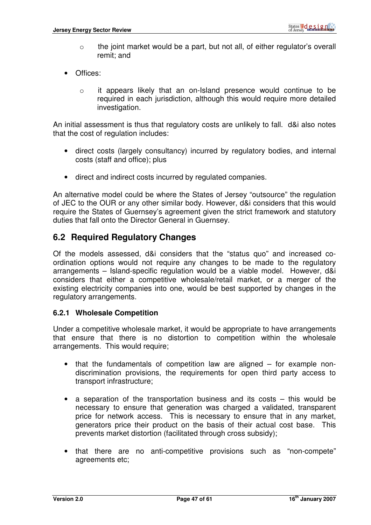- o the joint market would be a part, but not all, of either regulator's overall remit; and
- Offices:
	- o it appears likely that an on-Island presence would continue to be required in each jurisdiction, although this would require more detailed investigation.

An initial assessment is thus that regulatory costs are unlikely to fall. d&i also notes that the cost of regulation includes:

- direct costs (largely consultancy) incurred by regulatory bodies, and internal costs (staff and office); plus
- direct and indirect costs incurred by regulated companies.

An alternative model could be where the States of Jersey "outsource" the regulation of JEC to the OUR or any other similar body. However, d&i considers that this would require the States of Guernsey's agreement given the strict framework and statutory duties that fall onto the Director General in Guernsey.

## **6.2 Required Regulatory Changes**

Of the models assessed, d&i considers that the "status quo" and increased coordination options would not require any changes to be made to the regulatory arrangements – Island-specific regulation would be a viable model. However, d&i considers that either a competitive wholesale/retail market, or a merger of the existing electricity companies into one, would be best supported by changes in the regulatory arrangements.

#### **6.2.1 Wholesale Competition**

Under a competitive wholesale market, it would be appropriate to have arrangements that ensure that there is no distortion to competition within the wholesale arrangements. This would require;

- that the fundamentals of competition law are aligned for example nondiscrimination provisions, the requirements for open third party access to transport infrastructure;
- a separation of the transportation business and its costs this would be necessary to ensure that generation was charged a validated, transparent price for network access. This is necessary to ensure that in any market, generators price their product on the basis of their actual cost base. This prevents market distortion (facilitated through cross subsidy);
- that there are no anti-competitive provisions such as "non-compete" agreements etc;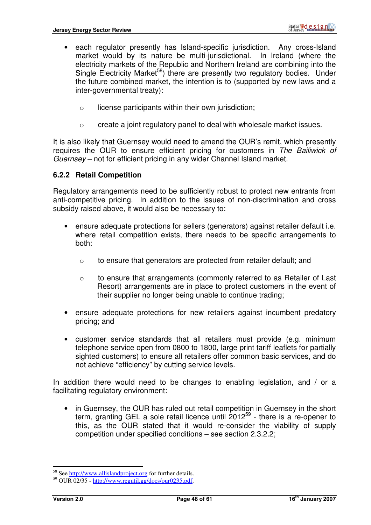- each regulator presently has Island-specific jurisdiction. Any cross-Island market would by its nature be multi-jurisdictional. In Ireland (where the electricity markets of the Republic and Northern Ireland are combining into the Single Electricity Market<sup>58</sup>) there are presently two regulatory bodies. Under the future combined market, the intention is to (supported by new laws and a inter-governmental treaty):
	- $\circ$  license participants within their own jurisdiction;
	- o create a joint regulatory panel to deal with wholesale market issues.

It is also likely that Guernsey would need to amend the OUR's remit, which presently requires the OUR to ensure efficient pricing for customers in The Bailiwick of Guernsey – not for efficient pricing in any wider Channel Island market.

#### **6.2.2 Retail Competition**

Regulatory arrangements need to be sufficiently robust to protect new entrants from anti-competitive pricing. In addition to the issues of non-discrimination and cross subsidy raised above, it would also be necessary to:

- ensure adequate protections for sellers (generators) against retailer default i.e. where retail competition exists, there needs to be specific arrangements to both:
	- o to ensure that generators are protected from retailer default; and
	- o to ensure that arrangements (commonly referred to as Retailer of Last Resort) arrangements are in place to protect customers in the event of their supplier no longer being unable to continue trading;
- ensure adequate protections for new retailers against incumbent predatory pricing; and
- customer service standards that all retailers must provide (e.g. minimum telephone service open from 0800 to 1800, large print tariff leaflets for partially sighted customers) to ensure all retailers offer common basic services, and do not achieve "efficiency" by cutting service levels.

In addition there would need to be changes to enabling legislation, and / or a facilitating regulatory environment:

• in Guernsey, the OUR has ruled out retail competition in Guernsey in the short term, granting GEL a sole retail licence until 2012<sup>59</sup> - there is a re-opener to this, as the OUR stated that it would re-consider the viability of supply competition under specified conditions – see section 2.3.2.2;

<sup>58</sup> See http://www.allislandproject.org for further details.

 $59$  OUR 02/35 - http://www.regutil.gg/docs/our0235.pdf.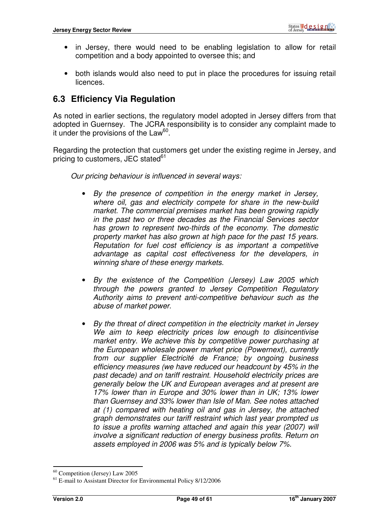- in Jersey, there would need to be enabling legislation to allow for retail competition and a body appointed to oversee this; and
- both islands would also need to put in place the procedures for issuing retail licences.

# **6.3 Efficiency Via Regulation**

As noted in earlier sections, the regulatory model adopted in Jersey differs from that adopted in Guernsey. The JCRA responsibility is to consider any complaint made to it under the provisions of the Law<sup>60</sup>.

Regarding the protection that customers get under the existing regime in Jersey, and pricing to customers, JEC stated<sup>61</sup>

Our pricing behaviour is influenced in several ways:

- By the presence of competition in the energy market in Jersey, where oil, gas and electricity compete for share in the new-build market. The commercial premises market has been growing rapidly in the past two or three decades as the Financial Services sector has grown to represent two-thirds of the economy. The domestic property market has also grown at high pace for the past 15 years. Reputation for fuel cost efficiency is as important a competitive advantage as capital cost effectiveness for the developers, in winning share of these energy markets.
- By the existence of the Competition (Jersey) Law 2005 which through the powers granted to Jersey Competition Regulatory Authority aims to prevent anti-competitive behaviour such as the abuse of market power.
- By the threat of direct competition in the electricity market in Jersey We aim to keep electricity prices low enough to disincentivise market entry. We achieve this by competitive power purchasing at the European wholesale power market price (Powernext), currently from our supplier Electricité de France; by ongoing business efficiency measures (we have reduced our headcount by 45% in the past decade) and on tariff restraint. Household electricity prices are generally below the UK and European averages and at present are 17% lower than in Europe and 30% lower than in UK; 13% lower than Guernsey and 33% lower than Isle of Man. See notes attached at (1) compared with heating oil and gas in Jersey, the attached graph demonstrates our tariff restraint which last year prompted us to issue a profits warning attached and again this year (2007) will involve a significant reduction of energy business profits. Return on assets employed in 2006 was 5% and is typically below 7%.

 $\overline{a}$ <sup>60</sup> Competition (Jersey) Law 2005

<sup>&</sup>lt;sup>61</sup> E-mail to Assistant Director for Environmental Policy 8/12/2006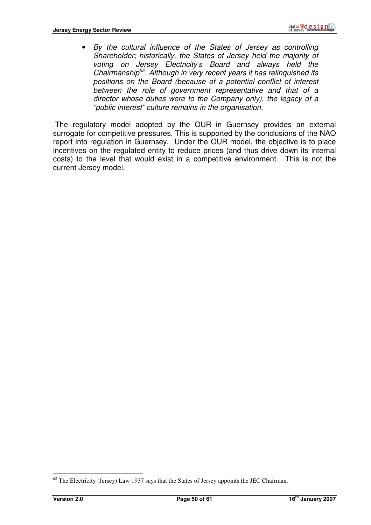• By the cultural influence of the States of Jersey as controlling Shareholder; historically, the States of Jersey held the majority of voting on Jersey Electricity's Board and always held the Chairmanship<sup>62</sup>. Although in very recent years it has relinquished its positions on the Board (because of a potential conflict of interest between the role of government representative and that of a director whose duties were to the Company only), the legacy of a "public interest" culture remains in the organisation.

 The regulatory model adopted by the OUR in Guernsey provides an external surrogate for competitive pressures. This is supported by the conclusions of the NAO report into regulation in Guernsey. Under the OUR model, the objective is to place incentives on the regulated entity to reduce prices (and thus drive down its internal costs) to the level that would exist in a competitive environment. This is not the current Jersey model.

 $62$  The Electricity (Jersey) Law 1937 says that the States of Jersey appoints the JEC Chairman.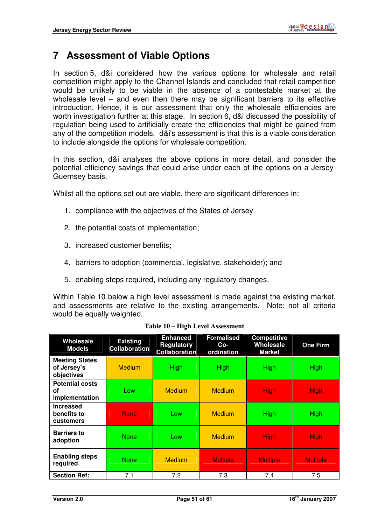# **7 Assessment of Viable Options**

In section 5, d&i considered how the various options for wholesale and retail competition might apply to the Channel Islands and concluded that retail competition would be unlikely to be viable in the absence of a contestable market at the wholesale level – and even then there may be significant barriers to its effective introduction. Hence, it is our assessment that only the wholesale efficiencies are worth investigation further at this stage. In section 6, d&i discussed the possibility of regulation being used to artificially create the efficiencies that might be gained from any of the competition models. d&i's assessment is that this is a viable consideration to include alongside the options for wholesale competition.

In this section, d&i analyses the above options in more detail, and consider the potential efficiency savings that could arise under each of the options on a Jersey-Guernsey basis.

Whilst all the options set out are viable, there are significant differences in:

- 1. compliance with the objectives of the States of Jersey
- 2. the potential costs of implementation;
- 3. increased customer benefits;
- 4. barriers to adoption (commercial, legislative, stakeholder); and
- 5. enabling steps required, including any regulatory changes.

Within Table 10 below a high level assessment is made against the existing market, and assessments are relative to the existing arrangements. Note: not all criteria would be equally weighted.

| Wholesale<br><b>Models</b>                          | <b>Existing</b><br><b>Collaboration</b> | <b>Enhanced</b><br><b>Regulatory</b><br><b>Collaboration</b> | <b>Formalised</b><br>$Co-$<br>ordination | <b>Competitive</b><br>Wholesale<br><b>Market</b> | <b>One Firm</b> |
|-----------------------------------------------------|-----------------------------------------|--------------------------------------------------------------|------------------------------------------|--------------------------------------------------|-----------------|
| <b>Meeting States</b><br>of Jersey's<br>objectives  | <b>Medium</b>                           | <b>High</b>                                                  | <b>High</b>                              | <b>High</b>                                      | <b>High</b>     |
| <b>Potential costs</b><br>οf<br>implementation      | Low                                     | <b>Medium</b>                                                | <b>Medium</b>                            | <b>High</b>                                      | <b>High</b>     |
| <b>Increased</b><br>benefits to<br><b>customers</b> | <b>None</b>                             | Low                                                          | <b>Medium</b>                            | High <sub></sub>                                 | High            |
| <b>Barriers to</b><br>adoption                      | <b>None</b>                             | Low                                                          | <b>Medium</b>                            | <b>High</b>                                      | <b>High</b>     |
| <b>Enabling steps</b><br>required                   | <b>None</b>                             | <b>Medium</b>                                                | <b>Multiple</b>                          | <b>Multiple</b>                                  | <b>Multiple</b> |
| <b>Section Ref:</b>                                 | 7.1                                     | 7.2                                                          | 7.3                                      | 7.4                                              | 7.5             |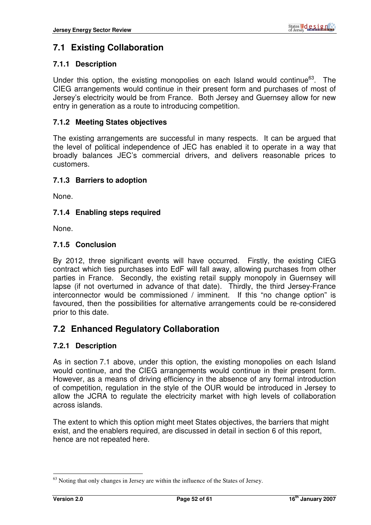# **7.1 Existing Collaboration**

#### **7.1.1 Description**

Under this option, the existing monopolies on each Island would continue $63$ . The CIEG arrangements would continue in their present form and purchases of most of Jersey's electricity would be from France. Both Jersey and Guernsey allow for new entry in generation as a route to introducing competition.

#### **7.1.2 Meeting States objectives**

The existing arrangements are successful in many respects. It can be argued that the level of political independence of JEC has enabled it to operate in a way that broadly balances JEC's commercial drivers, and delivers reasonable prices to customers.

#### **7.1.3 Barriers to adoption**

None.

#### **7.1.4 Enabling steps required**

None.

#### **7.1.5 Conclusion**

By 2012, three significant events will have occurred. Firstly, the existing CIEG contract which ties purchases into EdF will fall away, allowing purchases from other parties in France. Secondly, the existing retail supply monopoly in Guernsey will lapse (if not overturned in advance of that date). Thirdly, the third Jersey-France interconnector would be commissioned / imminent. If this "no change option" is favoured, then the possibilities for alternative arrangements could be re-considered prior to this date.

#### **7.2 Enhanced Regulatory Collaboration**

#### **7.2.1 Description**

As in section 7.1 above, under this option, the existing monopolies on each Island would continue, and the CIEG arrangements would continue in their present form. However, as a means of driving efficiency in the absence of any formal introduction of competition, regulation in the style of the OUR would be introduced in Jersey to allow the JCRA to regulate the electricity market with high levels of collaboration across islands.

The extent to which this option might meet States objectives, the barriers that might exist, and the enablers required, are discussed in detail in section 6 of this report, hence are not repeated here.

 $63$  Noting that only changes in Jersey are within the influence of the States of Jersey.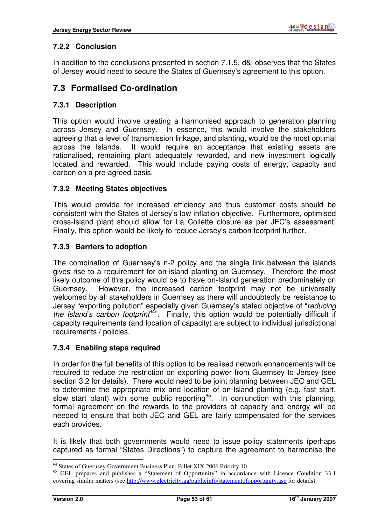## **7.2.2 Conclusion**

In addition to the conclusions presented in section 7.1.5, d&i observes that the States of Jersey would need to secure the States of Guernsey's agreement to this option.

## **7.3 Formalised Co-ordination**

#### **7.3.1 Description**

This option would involve creating a harmonised approach to generation planning across Jersey and Guernsey. In essence, this would involve the stakeholders agreeing that a level of transmission linkage, and planting, would be the most optimal across the Islands. It would require an acceptance that existing assets are rationalised, remaining plant adequately rewarded, and new investment logically located and rewarded. This would include paying costs of energy, capacity and carbon on a pre-agreed basis.

#### **7.3.2 Meeting States objectives**

This would provide for increased efficiency and thus customer costs should be consistent with the States of Jersey's low inflation objective. Furthermore, optimised cross-Island plant should allow for La Collette closure as per JEC's assessment. Finally, this option would be likely to reduce Jersey's carbon footprint further.

#### **7.3.3 Barriers to adoption**

The combination of Guernsey's n-2 policy and the single link between the islands gives rise to a requirement for on-island planting on Guernsey. Therefore the most likely outcome of this policy would be to have on-Island generation predominately on Guernsey. However, the increased carbon footprint may not be universally welcomed by all stakeholders in Guernsey as there will undoubtedly be resistance to Jersey "exporting pollution" especially given Guernsey's stated objective of "reducing the Island's carbon footprint<sup>64</sup>". Finally, this option would be potentially difficult if capacity requirements (and location of capacity) are subject to individual jurisdictional requirements / policies.

#### **7.3.4 Enabling steps required**

In order for the full benefits of this option to be realised network enhancements will be required to reduce the restriction on exporting power from Guernsey to Jersey (see section 3.2 for details). There would need to be joint planning between JEC and GEL to determine the appropriate mix and location of on-Island planting (e.g. fast start, slow start plant) with some public reporting<sup>65</sup>. In conjunction with this planning, formal agreement on the rewards to the providers of capacity and energy will be needed to ensure that both JEC and GEL are fairly compensated for the services each provides.

It is likely that both governments would need to issue policy statements (perhaps captured as formal "States Directions") to capture the agreement to harmonise the

<sup>&</sup>lt;sup>64</sup> States of Guernsey Government Business Plan, Billet XIX 2006 Priority 10

<sup>&</sup>lt;sup>65</sup> GEL prepares and publishes a "Statement of Opportunity" in accordance with Licence Condition 33.1 covering similar matters (see http://www.electricity.gg/publicinfo/statementofopportunity.asp for details).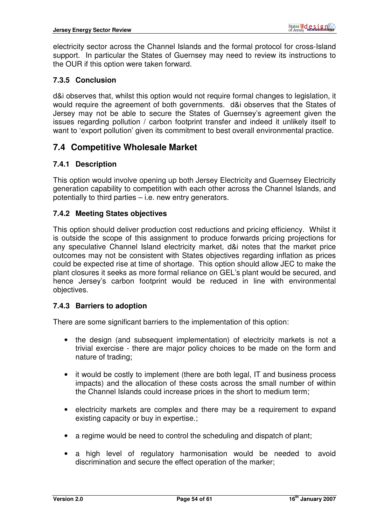electricity sector across the Channel Islands and the formal protocol for cross-Island support. In particular the States of Guernsey may need to review its instructions to the OUR if this option were taken forward.

#### **7.3.5 Conclusion**

d&i observes that, whilst this option would not require formal changes to legislation, it would require the agreement of both governments. d&i observes that the States of Jersey may not be able to secure the States of Guernsey's agreement given the issues regarding pollution / carbon footprint transfer and indeed it unlikely itself to want to 'export pollution' given its commitment to best overall environmental practice.

## **7.4 Competitive Wholesale Market**

#### **7.4.1 Description**

This option would involve opening up both Jersey Electricity and Guernsey Electricity generation capability to competition with each other across the Channel Islands, and potentially to third parties – i.e. new entry generators.

#### **7.4.2 Meeting States objectives**

This option should deliver production cost reductions and pricing efficiency. Whilst it is outside the scope of this assignment to produce forwards pricing projections for any speculative Channel Island electricity market, d&i notes that the market price outcomes may not be consistent with States objectives regarding inflation as prices could be expected rise at time of shortage. This option should allow JEC to make the plant closures it seeks as more formal reliance on GEL's plant would be secured, and hence Jersey's carbon footprint would be reduced in line with environmental objectives.

#### **7.4.3 Barriers to adoption**

There are some significant barriers to the implementation of this option:

- the design (and subsequent implementation) of electricity markets is not a trivial exercise - there are major policy choices to be made on the form and nature of trading;
- it would be costly to implement (there are both legal, IT and business process impacts) and the allocation of these costs across the small number of within the Channel Islands could increase prices in the short to medium term;
- electricity markets are complex and there may be a requirement to expand existing capacity or buy in expertise.;
- a regime would be need to control the scheduling and dispatch of plant;
- a high level of regulatory harmonisation would be needed to avoid discrimination and secure the effect operation of the marker;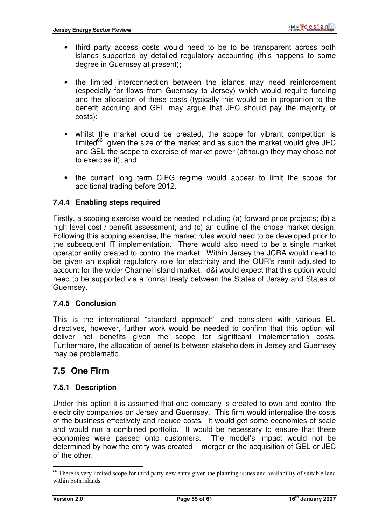- third party access costs would need to be to be transparent across both islands supported by detailed regulatory accounting (this happens to some degree in Guernsey at present):
- the limited interconnection between the islands may need reinforcement (especially for flows from Guernsey to Jersey) which would require funding and the allocation of these costs (typically this would be in proportion to the benefit accruing and GEL may argue that JEC should pay the majority of costs);
- whilst the market could be created, the scope for vibrant competition is limited $66$  given the size of the market and as such the market would give JEC and GEL the scope to exercise of market power (although they may chose not to exercise it); and
- the current long term CIEG regime would appear to limit the scope for additional trading before 2012.

#### **7.4.4 Enabling steps required**

Firstly, a scoping exercise would be needed including (a) forward price projects; (b) a high level cost / benefit assessment; and (c) an outline of the chose market design. Following this scoping exercise, the market rules would need to be developed prior to the subsequent IT implementation. There would also need to be a single market operator entity created to control the market. Within Jersey the JCRA would need to be given an explicit regulatory role for electricity and the OUR's remit adjusted to account for the wider Channel Island market. d&i would expect that this option would need to be supported via a formal treaty between the States of Jersey and States of Guernsey.

#### **7.4.5 Conclusion**

This is the international "standard approach" and consistent with various EU directives, however, further work would be needed to confirm that this option will deliver net benefits given the scope for significant implementation costs. Furthermore, the allocation of benefits between stakeholders in Jersey and Guernsey may be problematic.

## **7.5 One Firm**

#### **7.5.1 Description**

Under this option it is assumed that one company is created to own and control the electricity companies on Jersey and Guernsey. This firm would internalise the costs of the business effectively and reduce costs. It would get some economies of scale and would run a combined portfolio. It would be necessary to ensure that these economies were passed onto customers. The model's impact would not be determined by how the entity was created – merger or the acquisition of GEL or JEC of the other.

 $\overline{a}$ <sup>66</sup> There is very limited scope for third party new entry given the planning issues and availability of suitable land within both islands.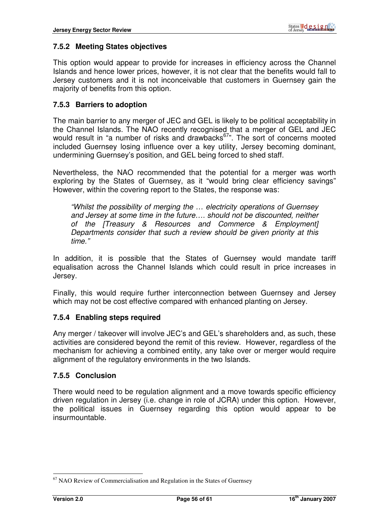#### **7.5.2 Meeting States objectives**

This option would appear to provide for increases in efficiency across the Channel Islands and hence lower prices, however, it is not clear that the benefits would fall to Jersey customers and it is not inconceivable that customers in Guernsey gain the majority of benefits from this option.

#### **7.5.3 Barriers to adoption**

The main barrier to any merger of JEC and GEL is likely to be political acceptability in the Channel Islands. The NAO recently recognised that a merger of GEL and JEC would result in "a number of risks and drawbacks<sup>67</sup>". The sort of concerns mooted included Guernsey losing influence over a key utility, Jersey becoming dominant, undermining Guernsey's position, and GEL being forced to shed staff.

Nevertheless, the NAO recommended that the potential for a merger was worth exploring by the States of Guernsey, as it "would bring clear efficiency savings" However, within the covering report to the States, the response was:

"Whilst the possibility of merging the … electricity operations of Guernsey and Jersey at some time in the future…. should not be discounted, neither of the [Treasury & Resources and Commerce & Employment] Departments consider that such a review should be given priority at this time."

In addition, it is possible that the States of Guernsey would mandate tariff equalisation across the Channel Islands which could result in price increases in Jersey.

Finally, this would require further interconnection between Guernsey and Jersey which may not be cost effective compared with enhanced planting on Jersey.

#### **7.5.4 Enabling steps required**

Any merger / takeover will involve JEC's and GEL's shareholders and, as such, these activities are considered beyond the remit of this review. However, regardless of the mechanism for achieving a combined entity, any take over or merger would require alignment of the regulatory environments in the two Islands.

#### **7.5.5 Conclusion**

There would need to be regulation alignment and a move towards specific efficiency driven regulation in Jersey (i.e. change in role of JCRA) under this option. However, the political issues in Guernsey regarding this option would appear to be insurmountable.

 $67$  NAO Review of Commercialisation and Regulation in the States of Guernsey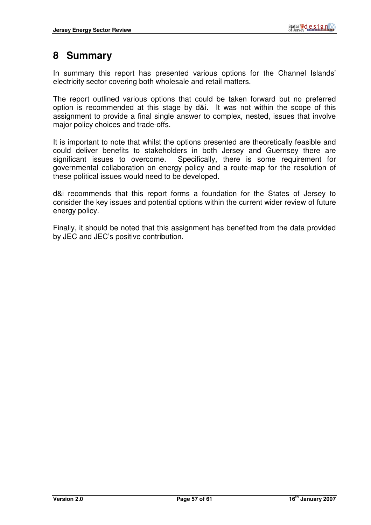# **8 Summary**

In summary this report has presented various options for the Channel Islands' electricity sector covering both wholesale and retail matters.

The report outlined various options that could be taken forward but no preferred option is recommended at this stage by d&i. It was not within the scope of this assignment to provide a final single answer to complex, nested, issues that involve major policy choices and trade-offs.

It is important to note that whilst the options presented are theoretically feasible and could deliver benefits to stakeholders in both Jersey and Guernsey there are significant issues to overcome. Specifically, there is some requirement for governmental collaboration on energy policy and a route-map for the resolution of these political issues would need to be developed.

d&i recommends that this report forms a foundation for the States of Jersey to consider the key issues and potential options within the current wider review of future energy policy.

Finally, it should be noted that this assignment has benefited from the data provided by JEC and JEC's positive contribution.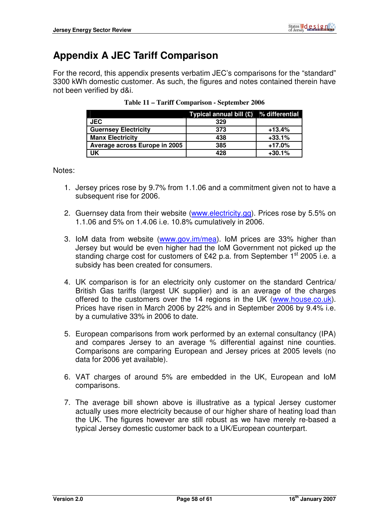# **Appendix A JEC Tariff Comparison**

For the record, this appendix presents verbatim JEC's comparisons for the "standard" 3300 kWh domestic customer. As such, the figures and notes contained therein have not been verified by d&i.

|                               | Typical annual bill $(E)$ % differential |          |
|-------------------------------|------------------------------------------|----------|
| <b>JEC</b>                    | 329                                      |          |
| <b>Guernsey Electricity</b>   | 373                                      | $+13.4%$ |
| <b>Manx Electricity</b>       | 438                                      | $+33.1%$ |
| Average across Europe in 2005 | 385                                      | +17.0%   |
| <b>UK</b>                     | 428                                      | $+30.1%$ |

| Table 11 – Tariff Comparison - September 2006 |  |
|-----------------------------------------------|--|
|-----------------------------------------------|--|

Notes:

- 1. Jersey prices rose by 9.7% from 1.1.06 and a commitment given not to have a subsequent rise for 2006.
- 2. Guernsey data from their website (www.electricity.gg). Prices rose by 5.5% on 1.1.06 and 5% on 1.4.06 i.e. 10.8% cumulatively in 2006.
- 3. IoM data from website (www.gov.im/mea). IoM prices are 33% higher than Jersey but would be even higher had the IoM Government not picked up the standing charge cost for customers of £42 p.a. from September 1<sup>st</sup> 2005 i.e. a subsidy has been created for consumers.
- 4. UK comparison is for an electricity only customer on the standard Centrica/ British Gas tariffs (largest UK supplier) and is an average of the charges offered to the customers over the 14 regions in the UK (www.house.co.uk). Prices have risen in March 2006 by 22% and in September 2006 by 9.4% i.e. by a cumulative 33% in 2006 to date.
- 5. European comparisons from work performed by an external consultancy (IPA) and compares Jersey to an average % differential against nine counties. Comparisons are comparing European and Jersey prices at 2005 levels (no data for 2006 yet available).
- 6. VAT charges of around 5% are embedded in the UK, European and IoM comparisons.
- 7. The average bill shown above is illustrative as a typical Jersey customer actually uses more electricity because of our higher share of heating load than the UK. The figures however are still robust as we have merely re-based a typical Jersey domestic customer back to a UK/European counterpart.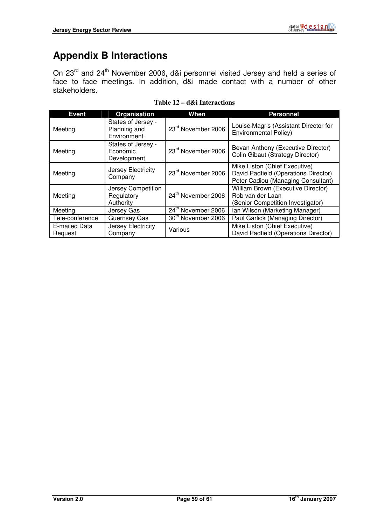# **Appendix B Interactions**

On 23<sup>rd</sup> and 24<sup>th</sup> November 2006, d&i personnel visited Jersey and held a series of face to face meetings. In addition, d&i made contact with a number of other stakeholders.

| <b>Event</b>             | Organisation                                      | <b>When</b>                    | <b>Personnel</b>                                                                                            |
|--------------------------|---------------------------------------------------|--------------------------------|-------------------------------------------------------------------------------------------------------------|
| Meeting                  | States of Jersey -<br>Planning and<br>Environment | 23rd November 2006             | Louise Magris (Assistant Director for<br><b>Environmental Policy)</b>                                       |
| Meeting                  | States of Jersey -<br>Economic<br>Development     | 23rd November 2006             | Bevan Anthony (Executive Director)<br>Colin Gibaut (Strategy Director)                                      |
| Meeting                  | Jersey Electricity<br>Company                     | 23 <sup>rd</sup> November 2006 | Mike Liston (Chief Executive)<br>David Padfield (Operations Director)<br>Peter Cadiou (Managing Consultant) |
| Meeting                  | Jersey Competition<br>Regulatory<br>Authority     | 24 <sup>th</sup> November 2006 | William Brown (Executive Director)<br>Rob van der Laan<br>(Senior Competition Investigator)                 |
| Meeting                  | Jersey Gas                                        | 24 <sup>th</sup> November 2006 | Ian Wilson (Marketing Manager)                                                                              |
| Tele-conference          | Guernsey Gas                                      | 30 <sup>th</sup> November 2006 | Paul Garlick (Managing Director)                                                                            |
| E-mailed Data<br>Request | Jersey Electricity<br>Company                     | Various                        | Mike Liston (Chief Executive)<br>David Padfield (Operations Director)                                       |

**Table 12 – d&i Interactions**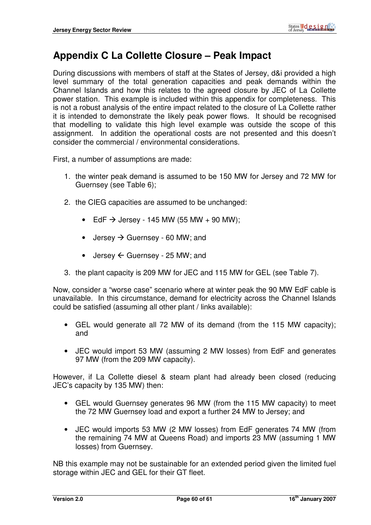# **Appendix C La Collette Closure – Peak Impact**

During discussions with members of staff at the States of Jersey, d&i provided a high level summary of the total generation capacities and peak demands within the Channel Islands and how this relates to the agreed closure by JEC of La Collette power station. This example is included within this appendix for completeness. This is not a robust analysis of the entire impact related to the closure of La Collette rather it is intended to demonstrate the likely peak power flows. It should be recognised that modelling to validate this high level example was outside the scope of this assignment. In addition the operational costs are not presented and this doesn't consider the commercial / environmental considerations.

First, a number of assumptions are made:

- 1. the winter peak demand is assumed to be 150 MW for Jersey and 72 MW for Guernsey (see Table 6);
- 2. the CIEG capacities are assumed to be unchanged:
	- EdF  $\rightarrow$  Jersey 145 MW (55 MW + 90 MW);
	- Jersey  $\rightarrow$  Guernsey 60 MW; and
	- Jersey  $\leftarrow$  Guernsey 25 MW; and
- 3. the plant capacity is 209 MW for JEC and 115 MW for GEL (see Table 7).

Now, consider a "worse case" scenario where at winter peak the 90 MW EdF cable is unavailable. In this circumstance, demand for electricity across the Channel Islands could be satisfied (assuming all other plant / links available):

- GEL would generate all 72 MW of its demand (from the 115 MW capacity); and
- JEC would import 53 MW (assuming 2 MW losses) from EdF and generates 97 MW (from the 209 MW capacity).

However, if La Collette diesel & steam plant had already been closed (reducing JEC's capacity by 135 MW) then:

- GEL would Guernsey generates 96 MW (from the 115 MW capacity) to meet the 72 MW Guernsey load and export a further 24 MW to Jersey; and
- JEC would imports 53 MW (2 MW losses) from EdF generates 74 MW (from the remaining 74 MW at Queens Road) and imports 23 MW (assuming 1 MW losses) from Guernsey.

NB this example may not be sustainable for an extended period given the limited fuel storage within JEC and GEL for their GT fleet.